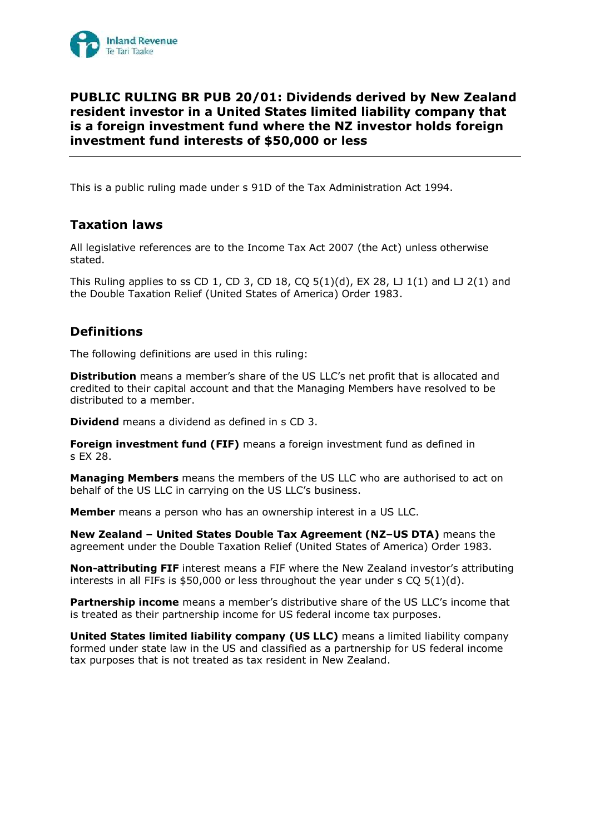

# **PUBLIC RULING BR PUB 20/01: Dividends derived by New Zealand resident investor in a United States limited liability company that is a foreign investment fund where the NZ investor holds foreign investment fund interests of \$50,000 or less**

This is a public ruling made under s 91D of the Tax Administration Act 1994.

## **Taxation laws**

All legislative references are to the Income Tax Act 2007 (the Act) unless otherwise stated.

This Ruling applies to ss CD 1, CD 3, CD 18, CQ  $5(1)(d)$ , EX 28, LJ  $1(1)$  and LJ  $2(1)$  and the Double Taxation Relief (United States of America) Order 1983.

## **Definitions**

The following definitions are used in this ruling:

**Distribution** means a member's share of the US LLC's net profit that is allocated and credited to their capital account and that the Managing Members have resolved to be distributed to a member.

**Dividend** means a dividend as defined in s CD 3.

**Foreign investment fund (FIF)** means a foreign investment fund as defined in s EX 28.

**Managing Members** means the members of the US LLC who are authorised to act on behalf of the US LLC in carrying on the US LLC's business.

**Member** means a person who has an ownership interest in a US LLC.

**New Zealand – United States Double Tax Agreement (NZ–US DTA)** means the agreement under the Double Taxation Relief (United States of America) Order 1983.

**Non-attributing FIF** interest means a FIF where the New Zealand investor's attributing interests in all FIFs is \$50,000 or less throughout the year under s CQ 5(1)(d).

**Partnership income** means a member's distributive share of the US LLC's income that is treated as their partnership income for US federal income tax purposes.

**United States limited liability company (US LLC)** means a limited liability company formed under state law in the US and classified as a partnership for US federal income tax purposes that is not treated as tax resident in New Zealand.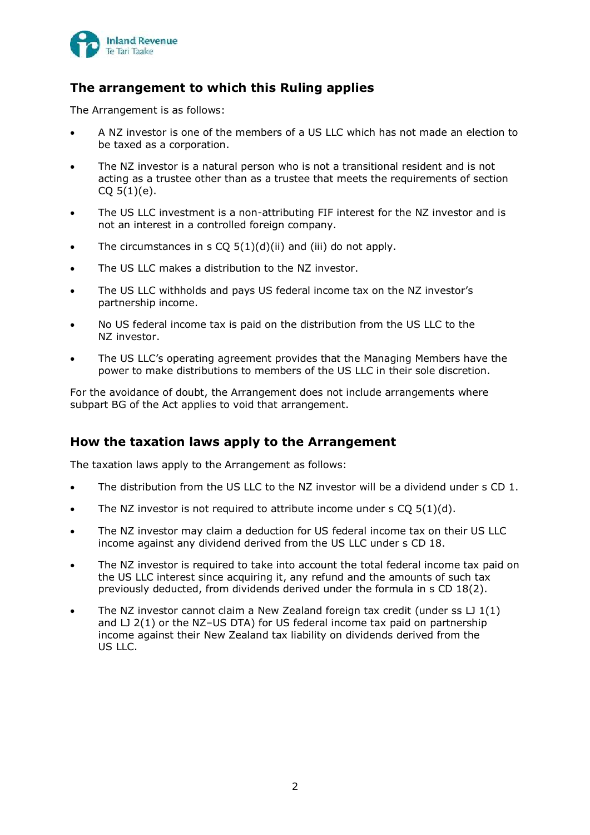

# **The arrangement to which this Ruling applies**

The Arrangement is as follows:

- A NZ investor is one of the members of a US LLC which has not made an election to be taxed as a corporation.
- The NZ investor is a natural person who is not a transitional resident and is not acting as a trustee other than as a trustee that meets the requirements of section  $CO 5(1)(e)$ .
- The US LLC investment is a non-attributing FIF interest for the NZ investor and is not an interest in a controlled foreign company.
- The circumstances in s CQ  $5(1)(d)(ii)$  and (iii) do not apply.
- The US LLC makes a distribution to the NZ investor.
- The US LLC withholds and pays US federal income tax on the NZ investor's partnership income.
- No US federal income tax is paid on the distribution from the US LLC to the NZ investor.
- The US LLC's operating agreement provides that the Managing Members have the power to make distributions to members of the US LLC in their sole discretion.

For the avoidance of doubt, the Arrangement does not include arrangements where subpart BG of the Act applies to void that arrangement.

# **How the taxation laws apply to the Arrangement**

The taxation laws apply to the Arrangement as follows:

- The distribution from the US LLC to the NZ investor will be a dividend under s CD 1.
- The NZ investor is not required to attribute income under  $s CO 5(1)(d)$ .
- The NZ investor may claim a deduction for US federal income tax on their US LLC income against any dividend derived from the US LLC under s CD 18.
- The NZ investor is required to take into account the total federal income tax paid on the US LLC interest since acquiring it, any refund and the amounts of such tax previously deducted, from dividends derived under the formula in s CD 18(2).
- The NZ investor cannot claim a New Zealand foreign tax credit (under ss  $LJ1(1)$ ) and  $LJ$  2(1) or the NZ-US DTA) for US federal income tax paid on partnership income against their New Zealand tax liability on dividends derived from the US LLC.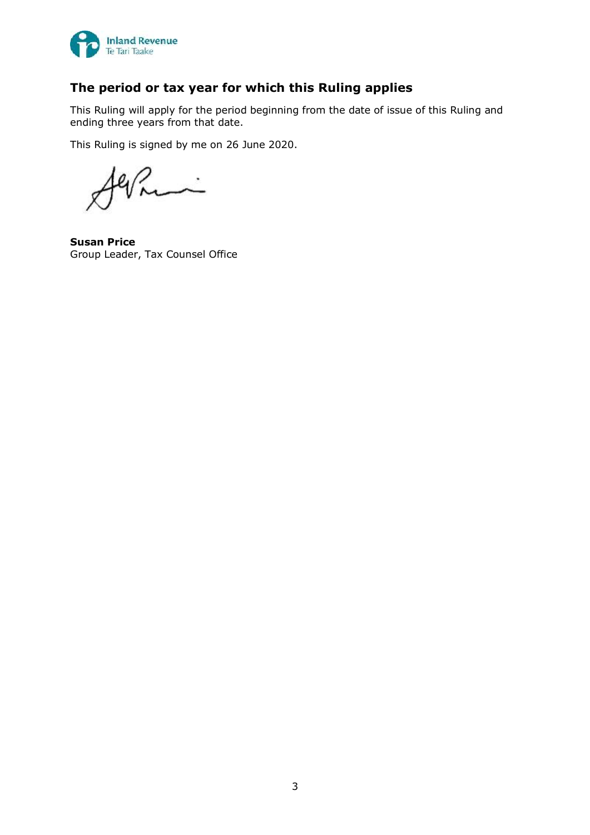

# **The period or tax year for which this Ruling applies**

This Ruling will apply for the period beginning from the date of issue of this Ruling and ending three years from that date.

This Ruling is signed by me on 26 June 2020.

**Susan Price** Group Leader, Tax Counsel Office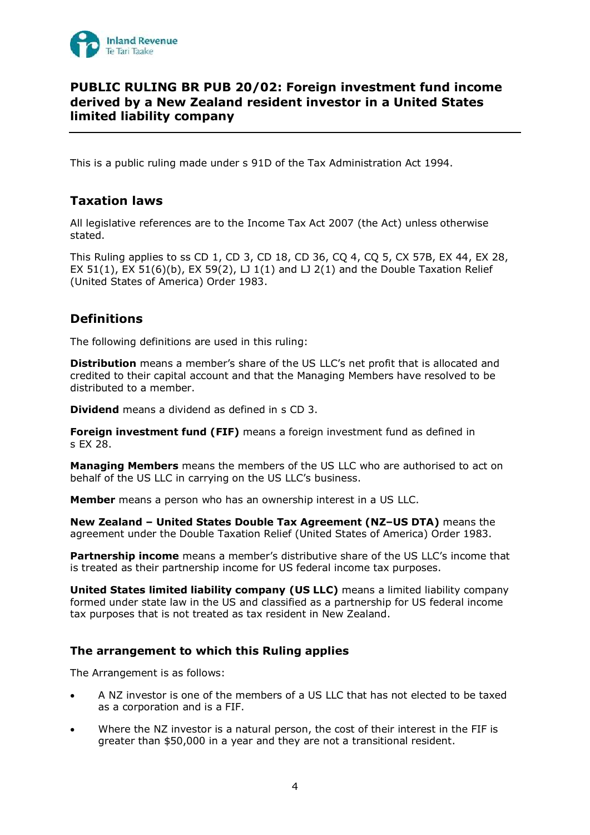

# **PUBLIC RULING BR PUB 20/02: Foreign investment fund income derived by a New Zealand resident investor in a United States limited liability company**

This is a public ruling made under s 91D of the Tax Administration Act 1994.

# **Taxation laws**

All legislative references are to the Income Tax Act 2007 (the Act) unless otherwise stated.

This Ruling applies to ss CD 1, CD 3, CD 18, CD 36, CQ 4, CQ 5, CX 57B, EX 44, EX 28, EX 51(1), EX 51(6)(b), EX 59(2),  $\Box$  1(1) and  $\Box$  2(1) and the Double Taxation Relief (United States of America) Order 1983.

# **Definitions**

The following definitions are used in this ruling:

**Distribution** means a member's share of the US LLC's net profit that is allocated and credited to their capital account and that the Managing Members have resolved to be distributed to a member.

**Dividend** means a dividend as defined in s CD 3.

**Foreign investment fund (FIF)** means a foreign investment fund as defined in s EX 28.

**Managing Members** means the members of the US LLC who are authorised to act on behalf of the US LLC in carrying on the US LLC's business.

**Member** means a person who has an ownership interest in a US LLC.

**New Zealand – United States Double Tax Agreement (NZ–US DTA)** means the agreement under the Double Taxation Relief (United States of America) Order 1983.

**Partnership income** means a member's distributive share of the US LLC's income that is treated as their partnership income for US federal income tax purposes.

**United States limited liability company (US LLC)** means a limited liability company formed under state law in the US and classified as a partnership for US federal income tax purposes that is not treated as tax resident in New Zealand.

## **The arrangement to which this Ruling applies**

The Arrangement is as follows:

- A NZ investor is one of the members of a US LLC that has not elected to be taxed as a corporation and is a FIF.
- Where the NZ investor is a natural person, the cost of their interest in the FIF is greater than \$50,000 in a year and they are not a transitional resident.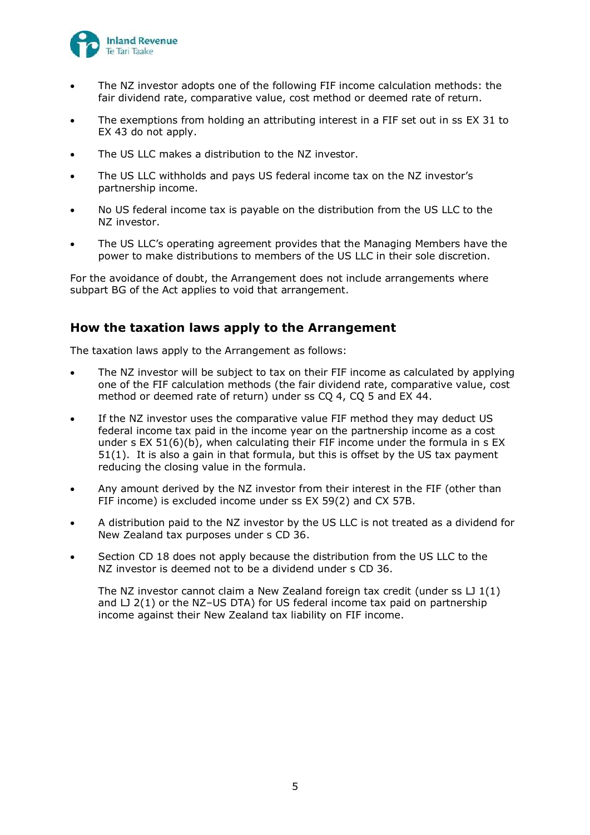

- The NZ investor adopts one of the following FIF income calculation methods: the fair dividend rate, comparative value, cost method or deemed rate of return.
- The exemptions from holding an attributing interest in a FIF set out in ss EX 31 to EX 43 do not apply.
- The US LLC makes a distribution to the NZ investor.
- The US LLC withholds and pays US federal income tax on the NZ investor's partnership income.
- No US federal income tax is payable on the distribution from the US LLC to the NZ investor.
- The US LLC's operating agreement provides that the Managing Members have the power to make distributions to members of the US LLC in their sole discretion.

For the avoidance of doubt, the Arrangement does not include arrangements where subpart BG of the Act applies to void that arrangement.

### **How the taxation laws apply to the Arrangement**

The taxation laws apply to the Arrangement as follows:

- The NZ investor will be subject to tax on their FIF income as calculated by applying one of the FIF calculation methods (the fair dividend rate, comparative value, cost method or deemed rate of return) under ss CQ 4, CQ 5 and EX 44.
- If the NZ investor uses the comparative value FIF method they may deduct US federal income tax paid in the income year on the partnership income as a cost under s EX 51(6)(b), when calculating their FIF income under the formula in s EX 51(1). It is also a gain in that formula, but this is offset by the US tax payment reducing the closing value in the formula.
- Any amount derived by the NZ investor from their interest in the FIF (other than FIF income) is excluded income under ss EX 59(2) and CX 57B.
- A distribution paid to the NZ investor by the US LLC is not treated as a dividend for New Zealand tax purposes under s CD 36.
- Section CD 18 does not apply because the distribution from the US LLC to the NZ investor is deemed not to be a dividend under s CD 36.

The NZ investor cannot claim a New Zealand foreign tax credit (under ss LJ 1(1) and  $LJ$  2(1) or the NZ-US DTA) for US federal income tax paid on partnership income against their New Zealand tax liability on FIF income.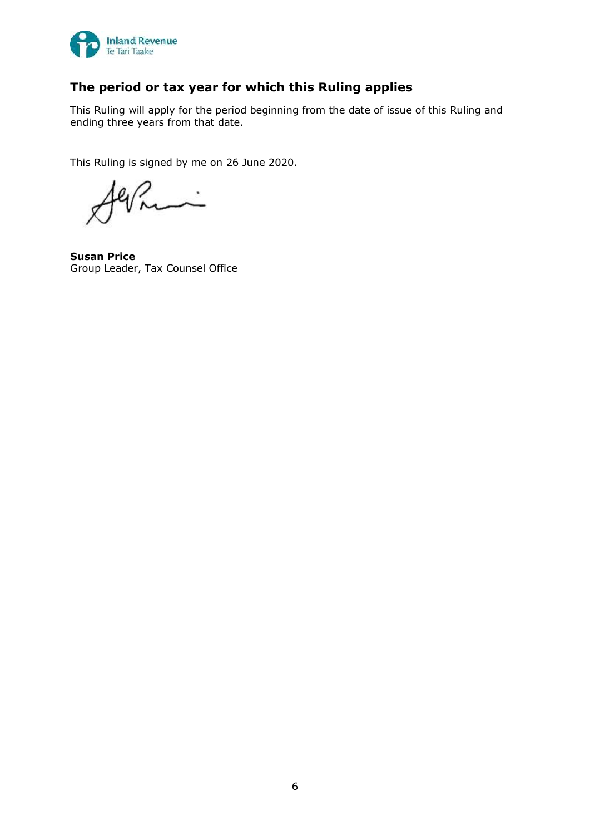

# **The period or tax year for which this Ruling applies**

This Ruling will apply for the period beginning from the date of issue of this Ruling and ending three years from that date.

This Ruling is signed by me on 26 June 2020.

k.<br>S

**Susan Price** Group Leader, Tax Counsel Office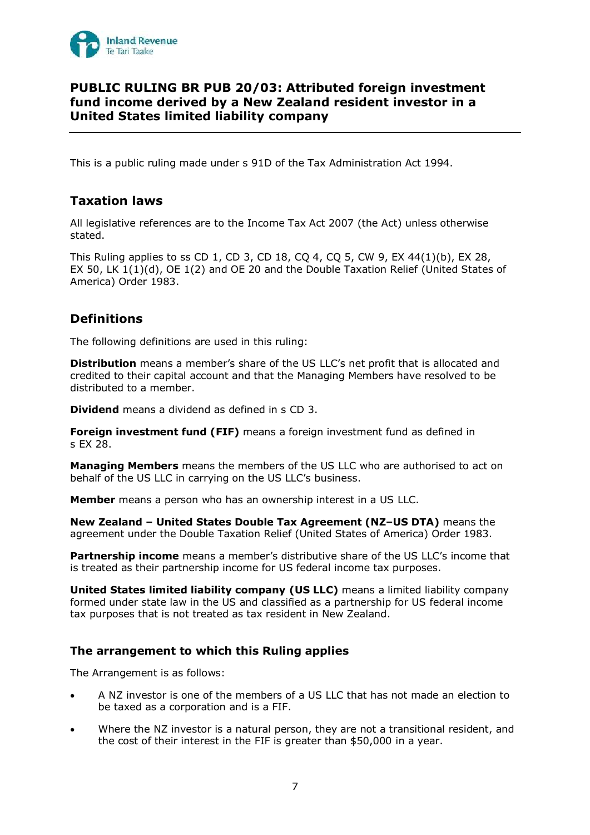

## **PUBLIC RULING BR PUB 20/03: Attributed foreign investment fund income derived by a New Zealand resident investor in a United States limited liability company**

This is a public ruling made under s 91D of the Tax Administration Act 1994.

# **Taxation laws**

All legislative references are to the Income Tax Act 2007 (the Act) unless otherwise stated.

This Ruling applies to ss CD 1, CD 3, CD 18, CQ 4, CQ 5, CW 9, EX 44(1)(b), EX 28, EX 50, LK 1(1)(d), OE 1(2) and OE 20 and the Double Taxation Relief (United States of America) Order 1983.

# **Definitions**

The following definitions are used in this ruling:

**Distribution** means a member's share of the US LLC's net profit that is allocated and credited to their capital account and that the Managing Members have resolved to be distributed to a member.

**Dividend** means a dividend as defined in s CD 3.

**Foreign investment fund (FIF)** means a foreign investment fund as defined in s EX 28.

**Managing Members** means the members of the US LLC who are authorised to act on behalf of the US LLC in carrying on the US LLC's business.

**Member** means a person who has an ownership interest in a US LLC.

**New Zealand – United States Double Tax Agreement (NZ–US DTA)** means the agreement under the Double Taxation Relief (United States of America) Order 1983.

**Partnership income** means a member's distributive share of the US LLC's income that is treated as their partnership income for US federal income tax purposes.

**United States limited liability company (US LLC)** means a limited liability company formed under state law in the US and classified as a partnership for US federal income tax purposes that is not treated as tax resident in New Zealand.

## **The arrangement to which this Ruling applies**

The Arrangement is as follows:

- A NZ investor is one of the members of a US LLC that has not made an election to be taxed as a corporation and is a FIF.
- Where the NZ investor is a natural person, they are not a transitional resident, and the cost of their interest in the FIF is greater than \$50,000 in a year.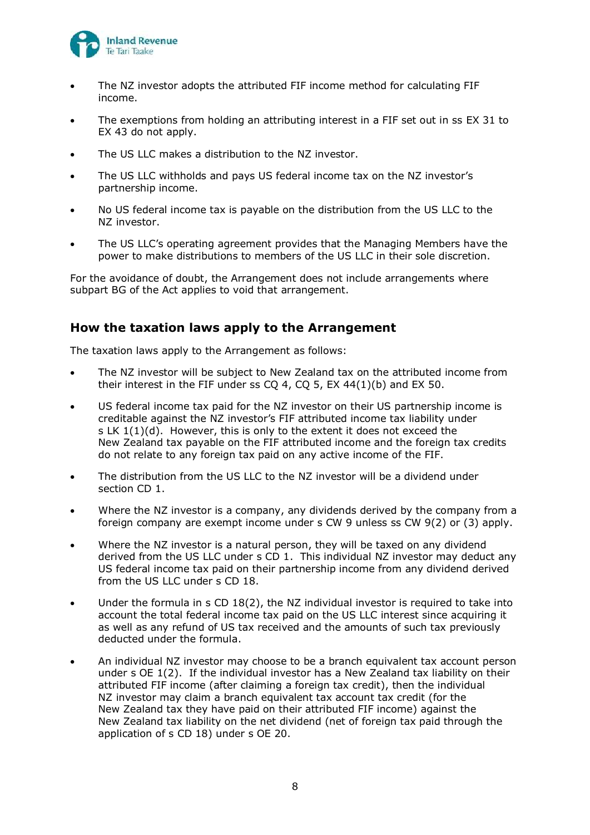

- The NZ investor adopts the attributed FIF income method for calculating FIF income.
- The exemptions from holding an attributing interest in a FIF set out in ss EX 31 to EX 43 do not apply.
- The US LLC makes a distribution to the NZ investor.
- The US LLC withholds and pays US federal income tax on the NZ investor's partnership income.
- No US federal income tax is payable on the distribution from the US LLC to the NZ investor.
- The US LLC's operating agreement provides that the Managing Members have the power to make distributions to members of the US LLC in their sole discretion.

For the avoidance of doubt, the Arrangement does not include arrangements where subpart BG of the Act applies to void that arrangement.

### **How the taxation laws apply to the Arrangement**

The taxation laws apply to the Arrangement as follows:

- The NZ investor will be subject to New Zealand tax on the attributed income from their interest in the FIF under ss  $CQ$  4,  $CQ$  5, EX 44(1)(b) and EX 50.
- US federal income tax paid for the NZ investor on their US partnership income is creditable against the NZ investor's FIF attributed income tax liability under s LK  $1(1)(d)$ . However, this is only to the extent it does not exceed the New Zealand tax payable on the FIF attributed income and the foreign tax credits do not relate to any foreign tax paid on any active income of the FIF.
- The distribution from the US LLC to the NZ investor will be a dividend under section CD 1.
- Where the NZ investor is a company, any dividends derived by the company from a foreign company are exempt income under s CW 9 unless ss CW 9(2) or (3) apply.
- Where the NZ investor is a natural person, they will be taxed on any dividend derived from the US LLC under s CD 1. This individual NZ investor may deduct any US federal income tax paid on their partnership income from any dividend derived from the US LLC under s CD 18.
- Under the formula in  $s$  CD 18(2), the NZ individual investor is required to take into account the total federal income tax paid on the US LLC interest since acquiring it as well as any refund of US tax received and the amounts of such tax previously deducted under the formula.
- An individual NZ investor may choose to be a branch equivalent tax account person under s OE 1(2). If the individual investor has a New Zealand tax liability on their attributed FIF income (after claiming a foreign tax credit), then the individual NZ investor may claim a branch equivalent tax account tax credit (for the New Zealand tax they have paid on their attributed FIF income) against the New Zealand tax liability on the net dividend (net of foreign tax paid through the application of s CD 18) under s OE 20.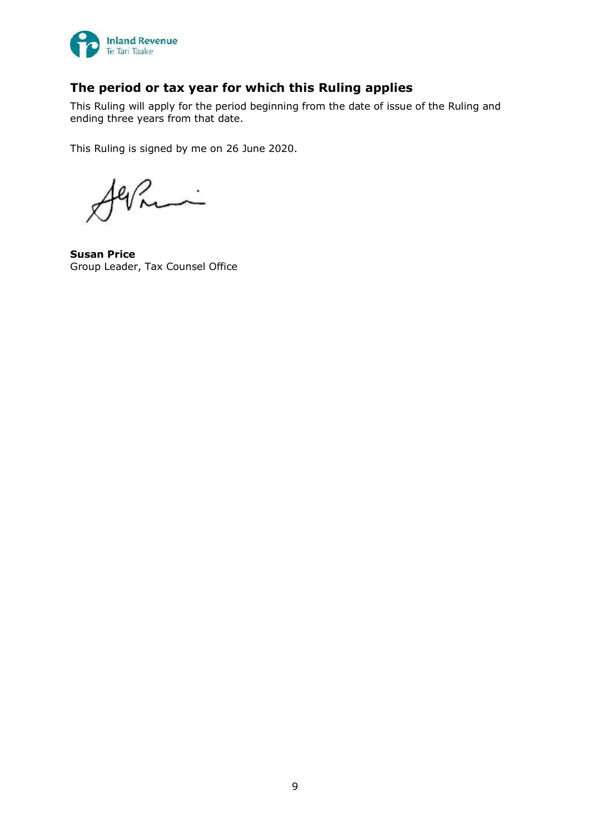

# **The period or tax year for which this Ruling applies**

This Ruling will apply for the period beginning from the date of issue of the Ruling and ending three years from that date.

This Ruling is signed by me on 26 June 2020.

**Susan Price** Group Leader, Tax Counsel Office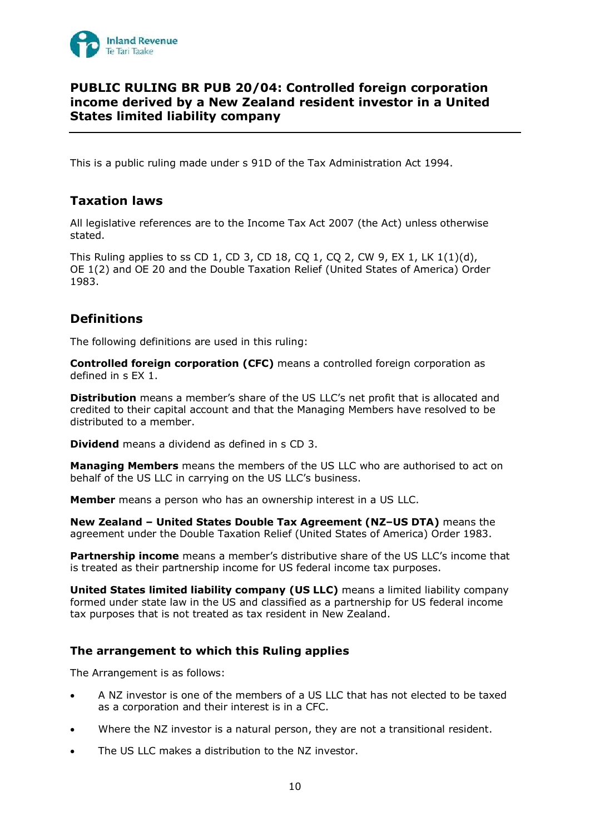

## **PUBLIC RULING BR PUB 20/04: Controlled foreign corporation income derived by a New Zealand resident investor in a United States limited liability company**

This is a public ruling made under s 91D of the Tax Administration Act 1994.

# **Taxation laws**

All legislative references are to the Income Tax Act 2007 (the Act) unless otherwise stated.

This Ruling applies to ss CD 1, CD 3, CD 18, CQ 1, CQ 2, CW 9, EX 1, LK 1(1)(d), OE 1(2) and OE 20 and the Double Taxation Relief (United States of America) Order 1983.

# **Definitions**

The following definitions are used in this ruling:

**Controlled foreign corporation (CFC)** means a controlled foreign corporation as defined in s EX 1.

**Distribution** means a member's share of the US LLC's net profit that is allocated and credited to their capital account and that the Managing Members have resolved to be distributed to a member.

**Dividend** means a dividend as defined in s CD 3.

**Managing Members** means the members of the US LLC who are authorised to act on behalf of the US LLC in carrying on the US LLC's business.

**Member** means a person who has an ownership interest in a US LLC.

**New Zealand – United States Double Tax Agreement (NZ–US DTA)** means the agreement under the Double Taxation Relief (United States of America) Order 1983.

**Partnership income** means a member's distributive share of the US LLC's income that is treated as their partnership income for US federal income tax purposes.

**United States limited liability company (US LLC)** means a limited liability company formed under state law in the US and classified as a partnership for US federal income tax purposes that is not treated as tax resident in New Zealand.

## **The arrangement to which this Ruling applies**

The Arrangement is as follows:

- A NZ investor is one of the members of a US LLC that has not elected to be taxed as a corporation and their interest is in a CFC.
- Where the NZ investor is a natural person, they are not a transitional resident.
- The US LLC makes a distribution to the NZ investor.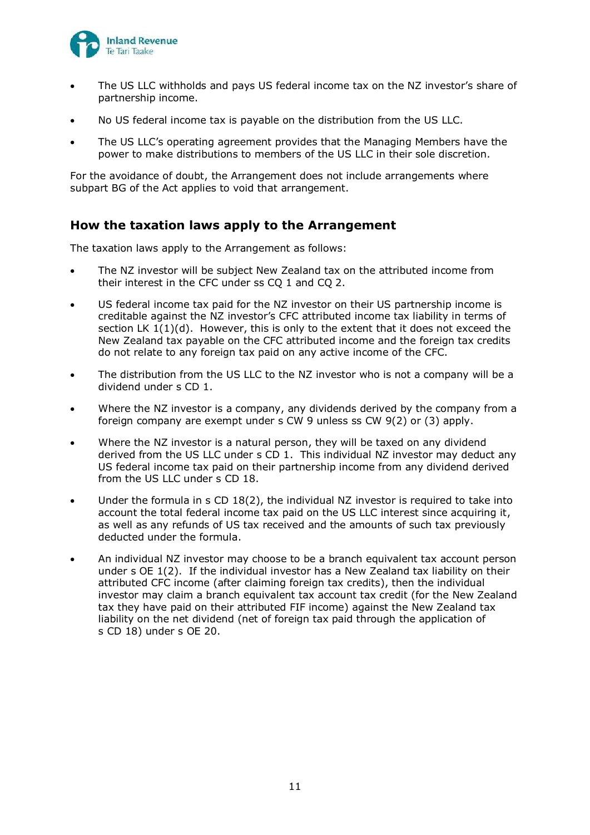

- The US LLC withholds and pays US federal income tax on the NZ investor's share of partnership income.
- No US federal income tax is payable on the distribution from the US LLC.
- The US LLC's operating agreement provides that the Managing Members have the power to make distributions to members of the US LLC in their sole discretion.

For the avoidance of doubt, the Arrangement does not include arrangements where subpart BG of the Act applies to void that arrangement.

## **How the taxation laws apply to the Arrangement**

The taxation laws apply to the Arrangement as follows:

- The NZ investor will be subject New Zealand tax on the attributed income from their interest in the CFC under ss CQ 1 and CQ 2.
- US federal income tax paid for the NZ investor on their US partnership income is creditable against the NZ investor's CFC attributed income tax liability in terms of section LK  $1(1)(d)$ . However, this is only to the extent that it does not exceed the New Zealand tax payable on the CFC attributed income and the foreign tax credits do not relate to any foreign tax paid on any active income of the CFC.
- The distribution from the US LLC to the NZ investor who is not a company will be a dividend under s CD 1.
- Where the NZ investor is a company, any dividends derived by the company from a foreign company are exempt under s CW 9 unless ss CW 9(2) or (3) apply.
- Where the NZ investor is a natural person, they will be taxed on any dividend derived from the US LLC under s CD 1. This individual NZ investor may deduct any US federal income tax paid on their partnership income from any dividend derived from the US LLC under s CD 18.
- Under the formula in  $s$  CD 18(2), the individual NZ investor is required to take into account the total federal income tax paid on the US LLC interest since acquiring it, as well as any refunds of US tax received and the amounts of such tax previously deducted under the formula.
- An individual NZ investor may choose to be a branch equivalent tax account person under s OE 1(2). If the individual investor has a New Zealand tax liability on their attributed CFC income (after claiming foreign tax credits), then the individual investor may claim a branch equivalent tax account tax credit (for the New Zealand tax they have paid on their attributed FIF income) against the New Zealand tax liability on the net dividend (net of foreign tax paid through the application of s CD 18) under s OE 20.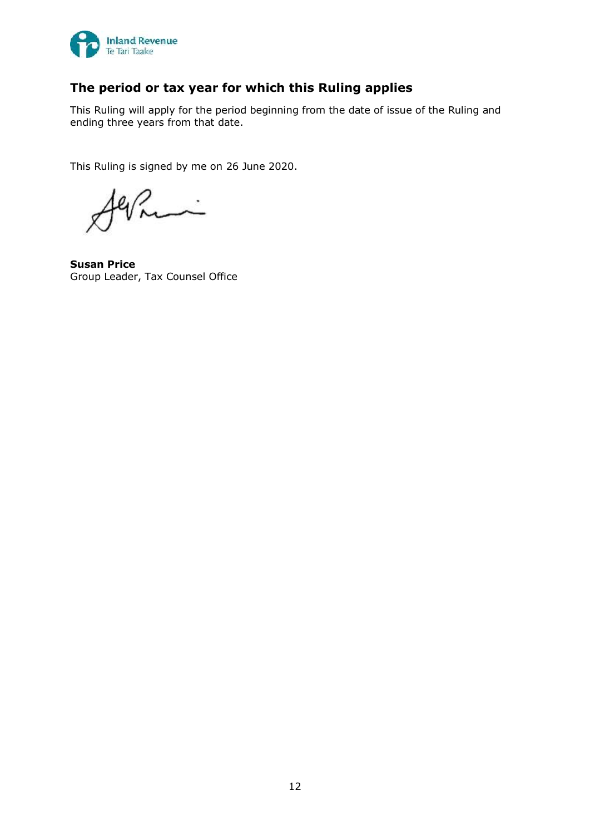

# **The period or tax year for which this Ruling applies**

This Ruling will apply for the period beginning from the date of issue of the Ruling and ending three years from that date.

This Ruling is signed by me on 26 June 2020.

 $\ddot{\phantom{0}}$ 

**Susan Price** Group Leader, Tax Counsel Office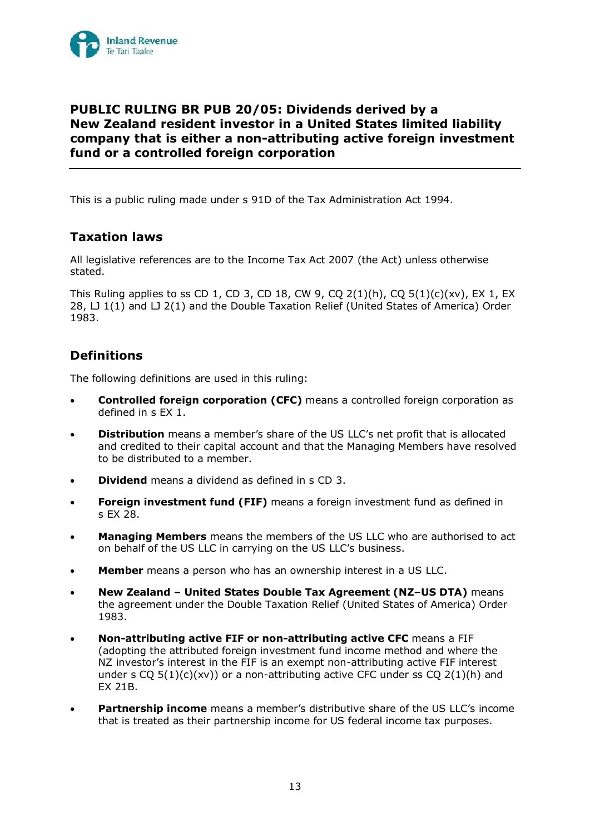

# **PUBLIC RULING BR PUB 20/05: Dividends derived by a New Zealand resident investor in a United States limited liability company that is either a non-attributing active foreign investment fund or a controlled foreign corporation**

This is a public ruling made under s 91D of the Tax Administration Act 1994.

# **Taxation laws**

All legislative references are to the Income Tax Act 2007 (the Act) unless otherwise stated.

This Ruling applies to ss CD 1, CD 3, CD 18, CW 9, CQ 2(1)(h), CQ 5(1)(c)(xv), EX 1, EX 28, LJ 1(1) and LJ 2(1) and the Double Taxation Relief (United States of America) Order 1983.

# **Definitions**

The following definitions are used in this ruling:

- **Controlled foreign corporation (CFC)** means a controlled foreign corporation as defined in s EX 1.
- **Distribution** means a member's share of the US LLC's net profit that is allocated and credited to their capital account and that the Managing Members have resolved to be distributed to a member.
- **Dividend** means a dividend as defined in s CD 3.
- **Foreign investment fund (FIF)** means a foreign investment fund as defined in s EX 28.
- **Managing Members** means the members of the US LLC who are authorised to act on behalf of the US LLC in carrying on the US LLC's business.
- **Member** means a person who has an ownership interest in a US LLC.
- **New Zealand – United States Double Tax Agreement (NZ–US DTA)** means the agreement under the Double Taxation Relief (United States of America) Order 1983.
- **Non-attributing active FIF or non-attributing active CFC** means a FIF (adopting the attributed foreign investment fund income method and where the NZ investor's interest in the FIF is an exempt non-attributing active FIF interest under s CQ  $5(1)(c)(xv)$  or a non-attributing active CFC under ss CQ  $2(1)(h)$  and EX 21B.
- **Partnership income** means a member's distributive share of the US LLC's income that is treated as their partnership income for US federal income tax purposes.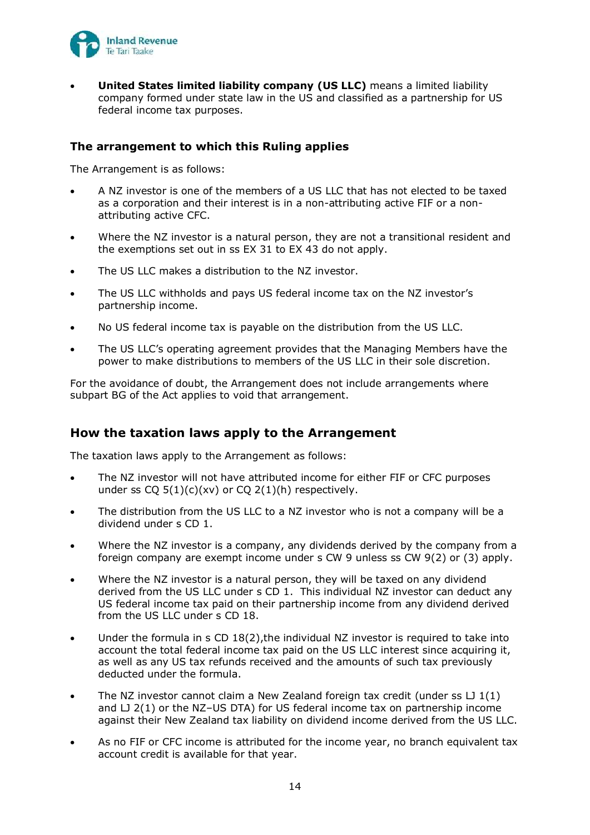

• **United States limited liability company (US LLC)** means a limited liability company formed under state law in the US and classified as a partnership for US federal income tax purposes.

### **The arrangement to which this Ruling applies**

The Arrangement is as follows:

- A NZ investor is one of the members of a US LLC that has not elected to be taxed as a corporation and their interest is in a non-attributing active FIF or a nonattributing active CFC.
- Where the NZ investor is a natural person, they are not a transitional resident and the exemptions set out in ss EX 31 to EX 43 do not apply.
- The US LLC makes a distribution to the NZ investor.
- The US LLC withholds and pays US federal income tax on the NZ investor's partnership income.
- No US federal income tax is payable on the distribution from the US LLC.
- The US LLC's operating agreement provides that the Managing Members have the power to make distributions to members of the US LLC in their sole discretion.

For the avoidance of doubt, the Arrangement does not include arrangements where subpart BG of the Act applies to void that arrangement.

## **How the taxation laws apply to the Arrangement**

The taxation laws apply to the Arrangement as follows:

- The NZ investor will not have attributed income for either FIF or CFC purposes under ss  $CQ 5(1)(c)(xv)$  or  $CQ 2(1)(h)$  respectively.
- The distribution from the US LLC to a NZ investor who is not a company will be a dividend under s CD 1.
- Where the NZ investor is a company, any dividends derived by the company from a foreign company are exempt income under s CW 9 unless ss CW 9(2) or (3) apply.
- Where the NZ investor is a natural person, they will be taxed on any dividend derived from the US LLC under s CD 1. This individual NZ investor can deduct any US federal income tax paid on their partnership income from any dividend derived from the US LLC under s CD 18.
- Under the formula in  $s$  CD 18(2), the individual NZ investor is required to take into account the total federal income tax paid on the US LLC interest since acquiring it, as well as any US tax refunds received and the amounts of such tax previously deducted under the formula.
- The NZ investor cannot claim a New Zealand foreign tax credit (under ss  $LJ1(1)$ ) and  $LJ$  2(1) or the NZ-US DTA) for US federal income tax on partnership income against their New Zealand tax liability on dividend income derived from the US LLC.
- As no FIF or CFC income is attributed for the income year, no branch equivalent tax account credit is available for that year.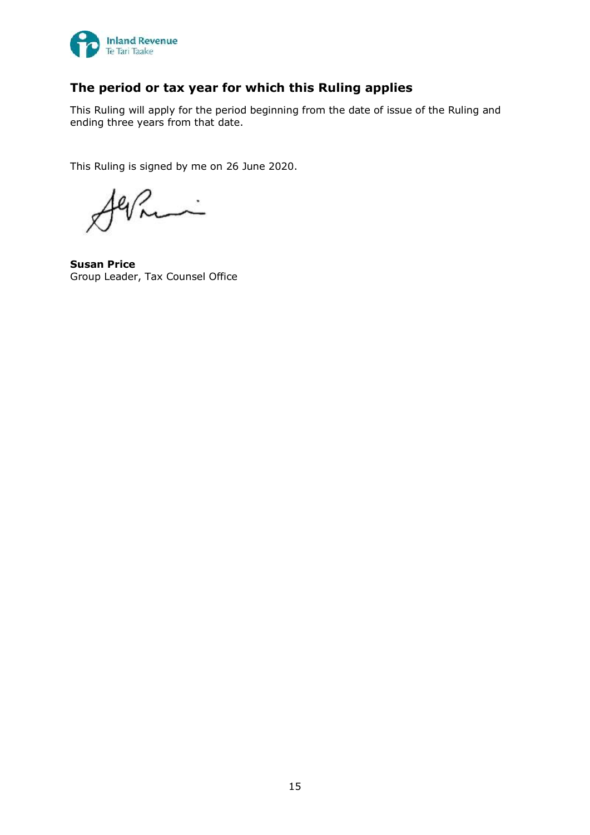

# **The period or tax year for which this Ruling applies**

This Ruling will apply for the period beginning from the date of issue of the Ruling and ending three years from that date.

This Ruling is signed by me on 26 June 2020.

 $\ddot{\phantom{0}}$ 

**Susan Price** Group Leader, Tax Counsel Office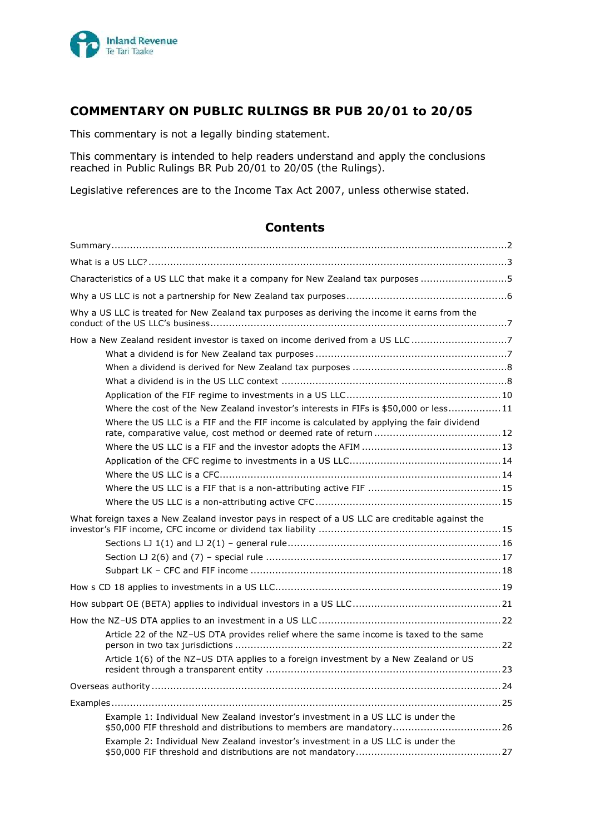

# **COMMENTARY ON PUBLIC RULINGS BR PUB 20/01 to 20/05**

This commentary is not a legally binding statement.

This commentary is intended to help readers understand and apply the conclusions reached in Public Rulings BR Pub 20/01 to 20/05 (the Rulings).

Legislative references are to the Income Tax Act 2007, unless otherwise stated.

## **Contents**

| Characteristics of a US LLC that make it a company for New Zealand tax purposes 5                                                                       |
|---------------------------------------------------------------------------------------------------------------------------------------------------------|
|                                                                                                                                                         |
| Why a US LLC is treated for New Zealand tax purposes as deriving the income it earns from the                                                           |
| How a New Zealand resident investor is taxed on income derived from a US LLC7                                                                           |
|                                                                                                                                                         |
|                                                                                                                                                         |
|                                                                                                                                                         |
|                                                                                                                                                         |
| Where the cost of the New Zealand investor's interests in FIFs is \$50,000 or less 11                                                                   |
| Where the US LLC is a FIF and the FIF income is calculated by applying the fair dividend                                                                |
|                                                                                                                                                         |
|                                                                                                                                                         |
|                                                                                                                                                         |
|                                                                                                                                                         |
|                                                                                                                                                         |
| What foreign taxes a New Zealand investor pays in respect of a US LLC are creditable against the                                                        |
|                                                                                                                                                         |
|                                                                                                                                                         |
|                                                                                                                                                         |
|                                                                                                                                                         |
|                                                                                                                                                         |
|                                                                                                                                                         |
| Article 22 of the NZ-US DTA provides relief where the same income is taxed to the same                                                                  |
| Article 1(6) of the NZ-US DTA applies to a foreign investment by a New Zealand or US                                                                    |
|                                                                                                                                                         |
|                                                                                                                                                         |
| Example 1: Individual New Zealand investor's investment in a US LLC is under the<br>\$50,000 FIF threshold and distributions to members are mandatory26 |
| Example 2: Individual New Zealand investor's investment in a US LLC is under the                                                                        |
|                                                                                                                                                         |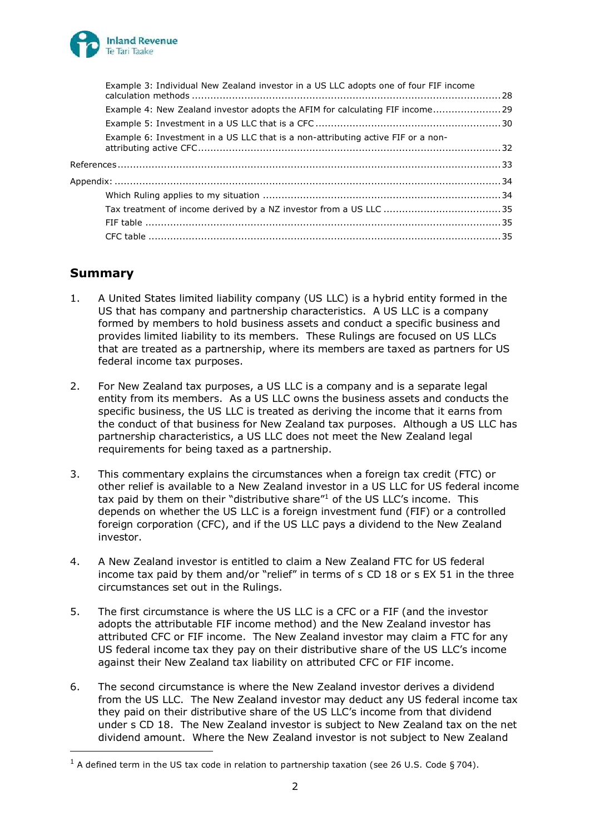

| Example 3: Individual New Zealand investor in a US LLC adopts one of four FIF income |  |
|--------------------------------------------------------------------------------------|--|
| Example 4: New Zealand investor adopts the AFIM for calculating FIF income29         |  |
|                                                                                      |  |
| Example 6: Investment in a US LLC that is a non-attributing active FIF or a non-     |  |
|                                                                                      |  |
|                                                                                      |  |
|                                                                                      |  |
|                                                                                      |  |
|                                                                                      |  |
|                                                                                      |  |

# **Summary**

- 1. A United States limited liability company (US LLC) is a hybrid entity formed in the US that has company and partnership characteristics. A US LLC is a company formed by members to hold business assets and conduct a specific business and provides limited liability to its members. These Rulings are focused on US LLCs that are treated as a partnership, where its members are taxed as partners for US federal income tax purposes.
- 2. For New Zealand tax purposes, a US LLC is a company and is a separate legal entity from its members. As a US LLC owns the business assets and conducts the specific business, the US LLC is treated as deriving the income that it earns from the conduct of that business for New Zealand tax purposes. Although a US LLC has partnership characteristics, a US LLC does not meet the New Zealand legal requirements for being taxed as a partnership.
- 3. This commentary explains the circumstances when a foreign tax credit (FTC) or other relief is available to a New Zealand investor in a US LLC for US federal income tax paid by them on their "distributive share"<sup>1</sup> of the US LLC's income. This depends on whether the US LLC is a foreign investment fund (FIF) or a controlled foreign corporation (CFC), and if the US LLC pays a dividend to the New Zealand investor.
- 4. A New Zealand investor is entitled to claim a New Zealand FTC for US federal income tax paid by them and/or "relief" in terms of s CD 18 or s EX 51 in the three circumstances set out in the Rulings.
- 5. The first circumstance is where the US LLC is a CFC or a FIF (and the investor adopts the attributable FIF income method) and the New Zealand investor has attributed CFC or FIF income. The New Zealand investor may claim a FTC for any US federal income tax they pay on their distributive share of the US LLC's income against their New Zealand tax liability on attributed CFC or FIF income.
- 6. The second circumstance is where the New Zealand investor derives a dividend from the US LLC. The New Zealand investor may deduct any US federal income tax they paid on their distributive share of the US LLC's income from that dividend under s CD 18. The New Zealand investor is subject to New Zealand tax on the net dividend amount. Where the New Zealand investor is not subject to New Zealand

 $1$  A defined term in the US tax code in relation to partnership taxation (see 26 U.S. Code § 704).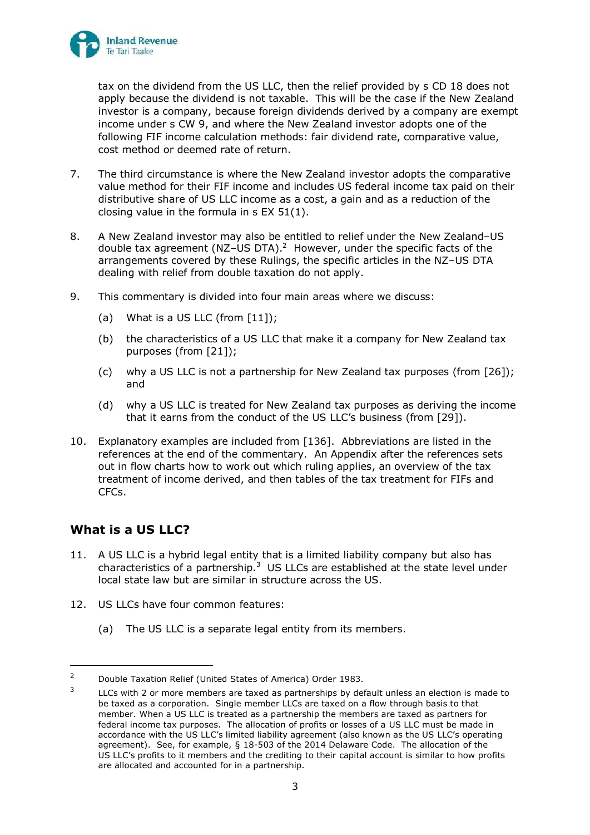

tax on the dividend from the US LLC, then the relief provided by s CD 18 does not apply because the dividend is not taxable. This will be the case if the New Zealand investor is a company, because foreign dividends derived by a company are exempt income under s CW 9, and where the New Zealand investor adopts one of the following FIF income calculation methods: fair dividend rate, comparative value, cost method or deemed rate of return.

- 7. The third circumstance is where the New Zealand investor adopts the comparative value method for their FIF income and includes US federal income tax paid on their distributive share of US LLC income as a cost, a gain and as a reduction of the closing value in the formula in s EX 51(1).
- 8. A New Zealand investor may also be entitled to relief under the New Zealand–US double tax agreement (NZ-US DTA).<sup>2</sup> However, under the specific facts of the arrangements covered by these Rulings, the specific articles in the NZ–US DTA dealing with relief from double taxation do not apply.
- 9. This commentary is divided into four main areas where we discuss:
	- (a) What is a US LLC (from  $[11]$ );
	- (b) the characteristics of a US LLC that make it a company for New Zealand tax purposes (from [\[21\]](#page-19-0));
	- (c) why a US LLC is not a partnership for New Zealand tax purposes (from [\[26\]](#page-20-0)); and
	- (d) why a US LLC is treated for New Zealand tax purposes as deriving the income that it earns from the conduct of the US LLC's business (from [[29\]](#page-21-0)).
- 10. Explanatory examples are included from [\[136\]](#page-39-0). Abbreviations are listed in the references at the end of the commentary. An Appendix after the references sets out in flow charts how to work out which ruling applies, an overview of the tax treatment of income derived, and then tables of the tax treatment for FIFs and CFCs.

# **What is a US LLC?**

- <span id="page-17-0"></span>11. A US LLC is a hybrid legal entity that is a limited liability company but also has characteristics of a partnership. $3$  US LLCs are established at the state level under local state law but are similar in structure across the US.
- 12. US LLCs have four common features:
	- (a) The US LLC is a separate legal entity from its members.

<sup>&</sup>lt;sup>2</sup> Double Taxation Relief (United States of America) Order 1983.

<sup>3</sup> LLCs with 2 or more members are taxed as partnerships by default unless an election is made to be taxed as a corporation. Single member LLCs are taxed on a flow through basis to that member. When a US LLC is treated as a partnership the members are taxed as partners for federal income tax purposes. The allocation of profits or losses of a US LLC must be made in accordance with the US LLC's limited liability agreement (also known as the US LLC's operating agreement). See, for example, § 18-503 of the 2014 Delaware Code. The allocation of the US LLC's profits to it members and the crediting to their capital account is similar to how profits are allocated and accounted for in a partnership.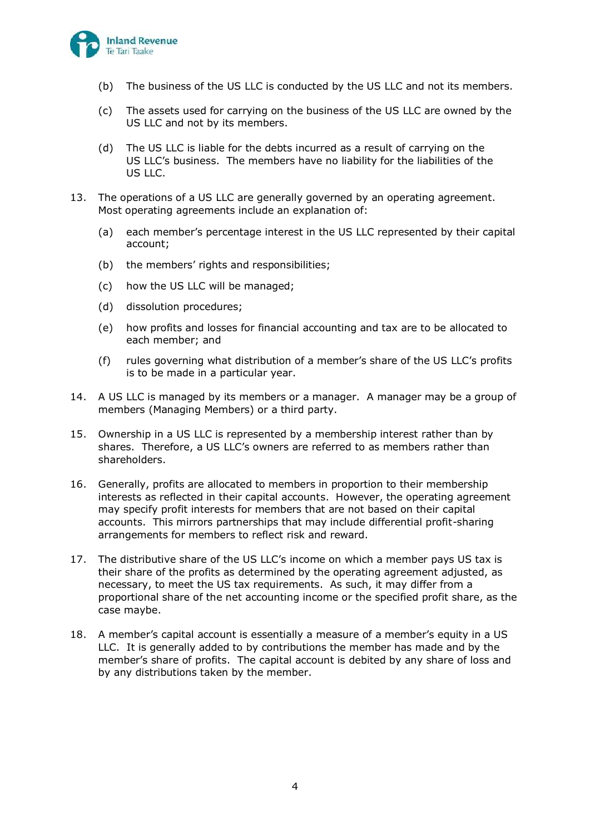

- (b) The business of the US LLC is conducted by the US LLC and not its members.
- (c) The assets used for carrying on the business of the US LLC are owned by the US LLC and not by its members.
- (d) The US LLC is liable for the debts incurred as a result of carrying on the US LLC's business. The members have no liability for the liabilities of the US LLC.
- 13. The operations of a US LLC are generally governed by an operating agreement. Most operating agreements include an explanation of:
	- (a) each member's percentage interest in the US LLC represented by their capital account;
	- (b) the members' rights and responsibilities;
	- (c) how the US LLC will be managed;
	- (d) dissolution procedures;
	- (e) how profits and losses for financial accounting and tax are to be allocated to each member; and
	- (f) rules governing what distribution of a member's share of the US LLC's profits is to be made in a particular year.
- 14. A US LLC is managed by its members or a manager. A manager may be a group of members (Managing Members) or a third party.
- 15. Ownership in a US LLC is represented by a membership interest rather than by shares. Therefore, a US LLC's owners are referred to as members rather than shareholders.
- 16. Generally, profits are allocated to members in proportion to their membership interests as reflected in their capital accounts. However, the operating agreement may specify profit interests for members that are not based on their capital accounts. This mirrors partnerships that may include differential profit-sharing arrangements for members to reflect risk and reward.
- 17. The distributive share of the US LLC's income on which a member pays US tax is their share of the profits as determined by the operating agreement adjusted, as necessary, to meet the US tax requirements. As such, it may differ from a proportional share of the net accounting income or the specified profit share, as the case maybe.
- 18. A member's capital account is essentially a measure of a member's equity in a US LLC. It is generally added to by contributions the member has made and by the member's share of profits. The capital account is debited by any share of loss and by any distributions taken by the member.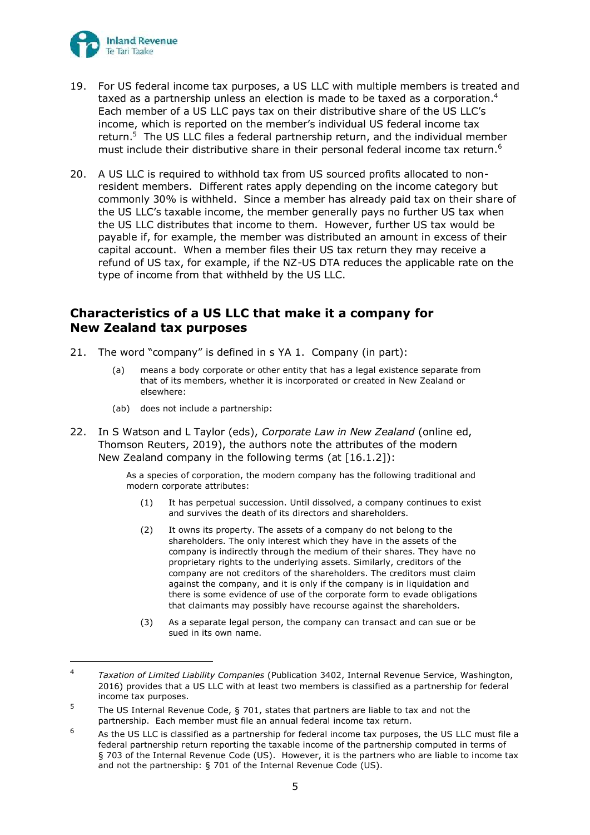

- 19. For US federal income tax purposes, a US LLC with multiple members is treated and taxed as a partnership unless an election is made to be taxed as a corporation.<sup>4</sup> Each member of a US LLC pays tax on their distributive share of the US LLC's income, which is reported on the member's individual US federal income tax return.<sup>5</sup> The US LLC files a federal partnership return, and the individual member must include their distributive share in their personal federal income tax return.<sup>6</sup>
- 20. A US LLC is required to withhold tax from US sourced profits allocated to nonresident members. Different rates apply depending on the income category but commonly 30% is withheld. Since a member has already paid tax on their share of the US LLC's taxable income, the member generally pays no further US tax when the US LLC distributes that income to them. However, further US tax would be payable if, for example, the member was distributed an amount in excess of their capital account. When a member files their US tax return they may receive a refund of US tax, for example, if the NZ-US DTA reduces the applicable rate on the type of income from that withheld by the US LLC.

## **Characteristics of a US LLC that make it a company for New Zealand tax purposes**

- <span id="page-19-0"></span>21. The word "company" is defined in s YA 1. Company (in part):
	- (a) means a body corporate or other entity that has a legal existence separate from that of its members, whether it is incorporated or created in New Zealand or elsewhere:
	- (ab) does not include a partnership:
- 22. In S Watson and L Taylor (eds), *Corporate Law in New Zealand* (online ed, Thomson Reuters, 2019), the authors note the attributes of the modern New Zealand company in the following terms (at [16.1.2]):

As a species of corporation, the modern company has the following traditional and modern corporate attributes:

- (1) It has perpetual succession. Until dissolved, a company continues to exist and survives the death of its directors and shareholders.
- (2) It owns its property. The assets of a company do not belong to the shareholders. The only interest which they have in the assets of the company is indirectly through the medium of their shares. They have no proprietary rights to the underlying assets. Similarly, creditors of the company are not creditors of the shareholders. The creditors must claim against the company, and it is only if the company is in liquidation and there is some evidence of use of the corporate form to evade obligations that claimants may possibly have recourse against the shareholders.
- (3) As a separate legal person, the company can transact and can sue or be sued in its own name.

<sup>4</sup> *Taxation of Limited Liability Companies* (Publication 3402, Internal Revenue Service, Washington, 2016) provides that a US LLC with at least two members is classified as a partnership for federal income tax purposes.

<sup>5</sup> The US Internal Revenue Code, § 701, states that partners are liable to tax and not the partnership. Each member must file an annual federal income tax return.

 $6$  As the US LLC is classified as a partnership for federal income tax purposes, the US LLC must file a federal partnership return reporting the taxable income of the partnership computed in terms of § 703 of the Internal Revenue Code (US). However, it is the partners who are liable to income tax and not the partnership: § 701 of the Internal Revenue Code (US).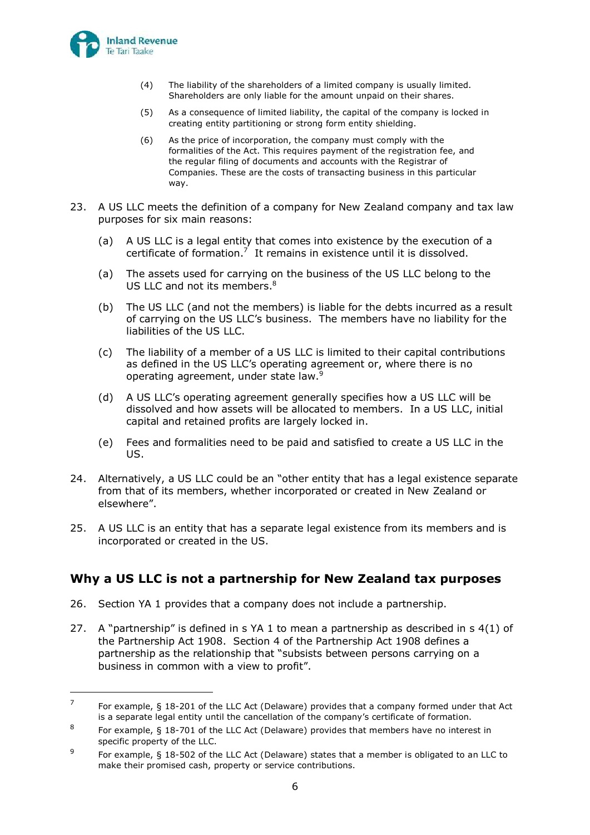

- (4) The liability of the shareholders of a limited company is usually limited. Shareholders are only liable for the amount unpaid on their shares.
- (5) As a consequence of limited liability, the capital of the company is locked in creating entity partitioning or strong form entity shielding.
- (6) As the price of incorporation, the company must comply with the formalities of the Act. This requires payment of the registration fee, and the regular filing of documents and accounts with the Registrar of Companies. These are the costs of transacting business in this particular way.
- 23. A US LLC meets the definition of a company for New Zealand company and tax law purposes for six main reasons:
	- (a) A US LLC is a legal entity that comes into existence by the execution of a certificate of formation.<sup>7</sup> It remains in existence until it is dissolved.
	- (a) The assets used for carrying on the business of the US LLC belong to the US LLC and not its members.<sup>8</sup>
	- (b) The US LLC (and not the members) is liable for the debts incurred as a result of carrying on the US LLC's business. The members have no liability for the liabilities of the US LLC.
	- (c) The liability of a member of a US LLC is limited to their capital contributions as defined in the US LLC's operating agreement or, where there is no operating agreement, under state law.<sup>9</sup>
	- (d) A US LLC's operating agreement generally specifies how a US LLC will be dissolved and how assets will be allocated to members. In a US LLC, initial capital and retained profits are largely locked in.
	- (e) Fees and formalities need to be paid and satisfied to create a US LLC in the US.
- 24. Alternatively, a US LLC could be an "other entity that has a legal existence separate from that of its members, whether incorporated or created in New Zealand or elsewhere".
- <span id="page-20-1"></span>25. A US LLC is an entity that has a separate legal existence from its members and is incorporated or created in the US.

## **Why a US LLC is not a partnership for New Zealand tax purposes**

- <span id="page-20-0"></span>26. Section YA 1 provides that a company does not include a partnership.
- 27. A "partnership" is defined in s YA 1 to mean a partnership as described in s  $4(1)$  of the Partnership Act 1908. Section 4 of the Partnership Act 1908 defines a partnership as the relationship that "subsists between persons carrying on a business in common with a view to profit".

<sup>7</sup> For example, § 18-201 of the LLC Act (Delaware) provides that a company formed under that Act is a separate legal entity until the cancellation of the company's certificate of formation.

<sup>8</sup> For example, § 18-701 of the LLC Act (Delaware) provides that members have no interest in specific property of the LLC.

<sup>9</sup> For example, § 18-502 of the LLC Act (Delaware) states that a member is obligated to an LLC to make their promised cash, property or service contributions.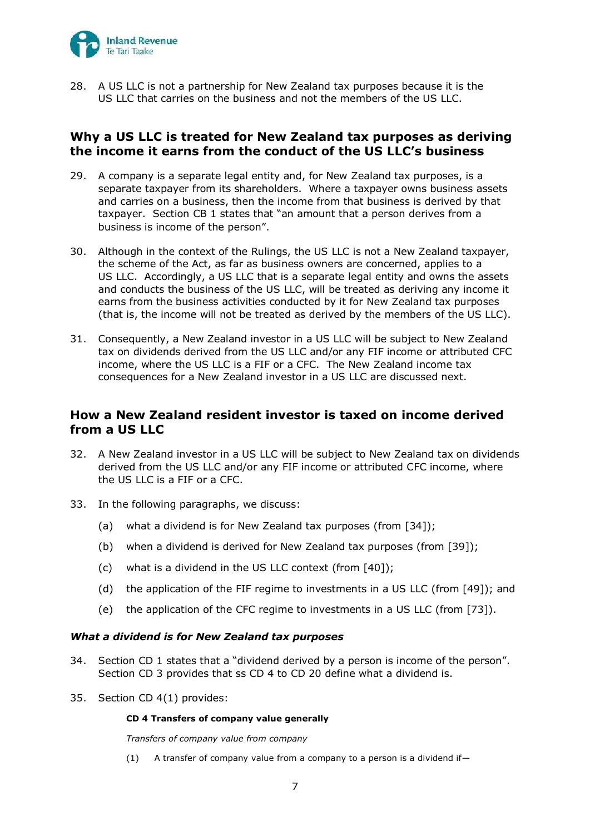

28. A US LLC is not a partnership for New Zealand tax purposes because it is the US LLC that carries on the business and not the members of the US LLC.

### **Why a US LLC is treated for New Zealand tax purposes as deriving the income it earns from the conduct of the US LLC's business**

- <span id="page-21-0"></span>29. A company is a separate legal entity and, for New Zealand tax purposes, is a separate taxpayer from its shareholders. Where a taxpayer owns business assets and carries on a business, then the income from that business is derived by that taxpayer. Section CB 1 states that "an amount that a person derives from a business is income of the person".
- 30. Although in the context of the Rulings, the US LLC is not a New Zealand taxpayer, the scheme of the Act, as far as business owners are concerned, applies to a US LLC. Accordingly, a US LLC that is a separate legal entity and owns the assets and conducts the business of the US LLC, will be treated as deriving any income it earns from the business activities conducted by it for New Zealand tax purposes (that is, the income will not be treated as derived by the members of the US LLC).
- 31. Consequently, a New Zealand investor in a US LLC will be subject to New Zealand tax on dividends derived from the US LLC and/or any FIF income or attributed CFC income, where the US LLC is a FIF or a CFC. The New Zealand income tax consequences for a New Zealand investor in a US LLC are discussed next.

## **How a New Zealand resident investor is taxed on income derived from a US LLC**

- 32. A New Zealand investor in a US LLC will be subject to New Zealand tax on dividends derived from the US LLC and/or any FIF income or attributed CFC income, where the US LLC is a FIF or a CFC.
- 33. In the following paragraphs, we discuss:
	- (a) what a dividend is for New Zealand tax purposes (from [\[34\]](#page-21-1));
	- (b) when a dividend is derived for New Zealand tax purposes (from [\[39\]](#page-22-0));
	- (c) what is a dividend in the US LLC context (from [\[40\]](#page-22-1));
	- (d) the application of the FIF regime to investments in a US LLC (from [\[49\]](#page-24-0)); and
	- (e) the application of the CFC regime to investments in a US LLC (from [\[73\]](#page-28-0)).

### *What a dividend is for New Zealand tax purposes*

- <span id="page-21-1"></span>34. Section CD 1 states that a "dividend derived by a person is income of the person". Section CD 3 provides that ss CD 4 to CD 20 define what a dividend is.
- 35. Section CD 4(1) provides:

### **CD 4 Transfers of company value generally**

*Transfers of company value from company*

(1) A transfer of company value from a company to a person is a dividend if—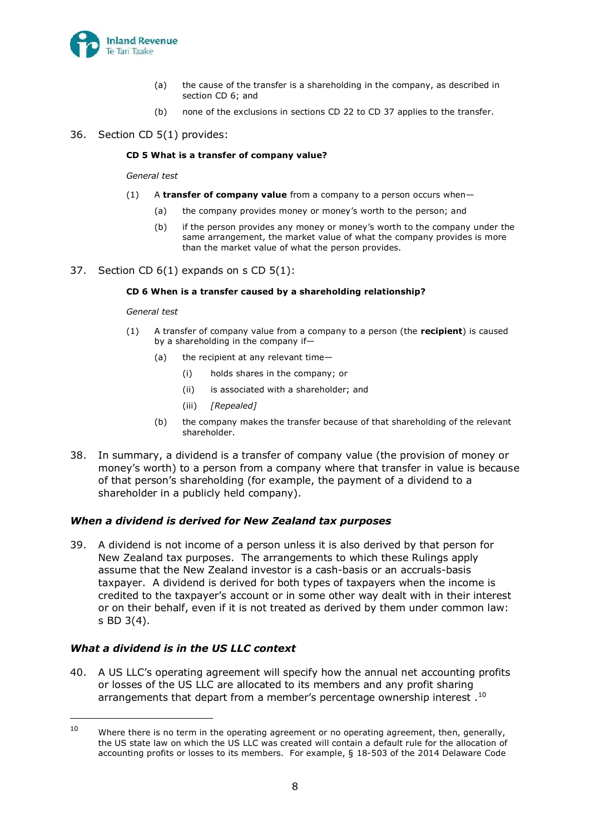

- (a) the cause of the transfer is a shareholding in the company, as described in section CD 6; and
- (b) none of the exclusions in sections CD 22 to CD 37 applies to the transfer.
- 36. Section CD 5(1) provides:

#### **CD 5 What is a transfer of company value?**

*General test*

- (1) A **transfer of company value** from a company to a person occurs when—
	- (a) the company provides money or money's worth to the person; and
	- (b) if the person provides any money or money's worth to the company under the same arrangement, the market value of what the company provides is more than the market value of what the person provides.
- 37. Section CD 6(1) expands on s CD 5(1):

#### **CD 6 When is a transfer caused by a shareholding relationship?**

#### *General test*

- (1) A transfer of company value from a company to a person (the **recipient**) is caused by a shareholding in the company if—
	- (a) the recipient at any relevant time—
		- (i) holds shares in the company; or
		- (ii) is associated with a shareholder; and
		- (iii) *[Repealed]*
	- (b) the company makes the transfer because of that shareholding of the relevant shareholder.
- 38. In summary, a dividend is a transfer of company value (the provision of money or money's worth) to a person from a company where that transfer in value is because of that person's shareholding (for example, the payment of a dividend to a shareholder in a publicly held company).

### *When a dividend is derived for New Zealand tax purposes*

<span id="page-22-0"></span>39. A dividend is not income of a person unless it is also derived by that person for New Zealand tax purposes. The arrangements to which these Rulings apply assume that the New Zealand investor is a cash-basis or an accruals-basis taxpayer. A dividend is derived for both types of taxpayers when the income is credited to the taxpayer's account or in some other way dealt with in their interest or on their behalf, even if it is not treated as derived by them under common law: s BD 3(4).

### *What a dividend is in the US LLC context*

<span id="page-22-1"></span>40. A US LLC's operating agreement will specify how the annual net accounting profits or losses of the US LLC are allocated to its members and any profit sharing arrangements that depart from a member's percentage ownership interest  $.10$ 

<sup>&</sup>lt;sup>10</sup> Where there is no term in the operating agreement or no operating agreement, then, generally, the US state law on which the US LLC was created will contain a default rule for the allocation of accounting profits or losses to its members. For example, § 18-503 of the 2014 Delaware Code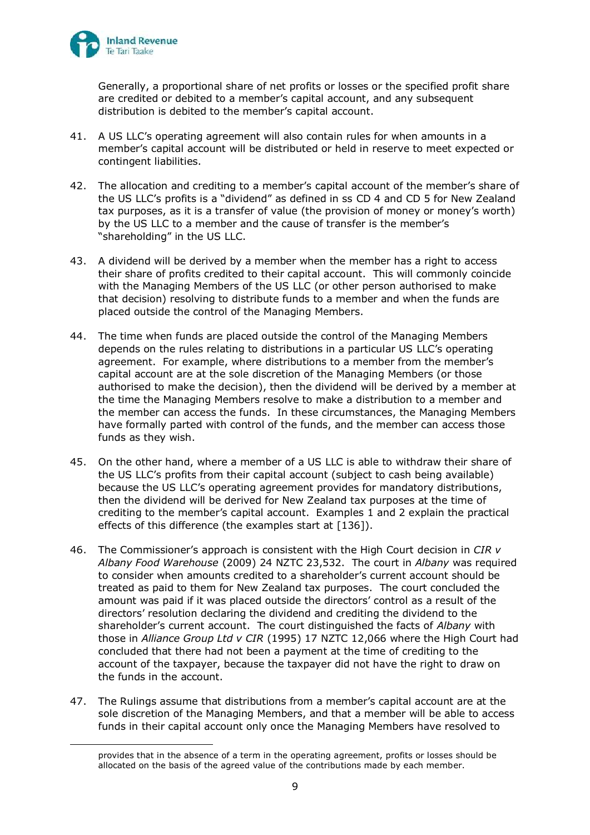

Generally, a proportional share of net profits or losses or the specified profit share are credited or debited to a member's capital account, and any subsequent distribution is debited to the member's capital account.

- 41. A US LLC's operating agreement will also contain rules for when amounts in a member's capital account will be distributed or held in reserve to meet expected or contingent liabilities.
- 42. The allocation and crediting to a member's capital account of the member's share of the US LLC's profits is a "dividend" as defined in ss CD 4 and CD 5 for New Zealand tax purposes, as it is a transfer of value (the provision of money or money's worth) by the US LLC to a member and the cause of transfer is the member's "shareholding" in the US LLC.
- 43. A dividend will be derived by a member when the member has a right to access their share of profits credited to their capital account. This will commonly coincide with the Managing Members of the US LLC (or other person authorised to make that decision) resolving to distribute funds to a member and when the funds are placed outside the control of the Managing Members.
- 44. The time when funds are placed outside the control of the Managing Members depends on the rules relating to distributions in a particular US LLC's operating agreement. For example, where distributions to a member from the member's capital account are at the sole discretion of the Managing Members (or those authorised to make the decision), then the dividend will be derived by a member at the time the Managing Members resolve to make a distribution to a member and the member can access the funds. In these circumstances, the Managing Members have formally parted with control of the funds, and the member can access those funds as they wish.
- 45. On the other hand, where a member of a US LLC is able to withdraw their share of the US LLC's profits from their capital account (subject to cash being available) because the US LLC's operating agreement provides for mandatory distributions, then the dividend will be derived for New Zealand tax purposes at the time of crediting to the member's capital account. Examples 1 and 2 explain the practical effects of this difference (the examples start at [\[136\]](#page-39-0)).
- 46. The Commissioner's approach is consistent with the High Court decision in *CIR v Albany Food Warehouse* (2009) 24 NZTC 23,532. The court in *Albany* was required to consider when amounts credited to a shareholder's current account should be treated as paid to them for New Zealand tax purposes. The court concluded the amount was paid if it was placed outside the directors' control as a result of the directors' resolution declaring the dividend and crediting the dividend to the shareholder's current account. The court distinguished the facts of *Albany* with those in *Alliance Group Ltd v CIR* (1995) 17 NZTC 12,066 where the High Court had concluded that there had not been a payment at the time of crediting to the account of the taxpayer, because the taxpayer did not have the right to draw on the funds in the account.
- 47. The Rulings assume that distributions from a member's capital account are at the sole discretion of the Managing Members, and that a member will be able to access funds in their capital account only once the Managing Members have resolved to

provides that in the absence of a term in the operating agreement, profits or losses should be allocated on the basis of the agreed value of the contributions made by each member.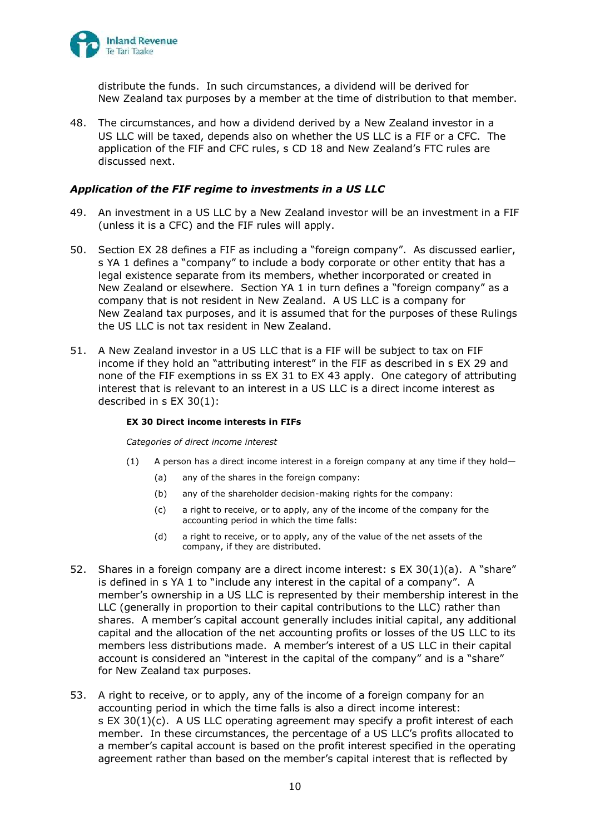

distribute the funds. In such circumstances, a dividend will be derived for New Zealand tax purposes by a member at the time of distribution to that member.

48. The circumstances, and how a dividend derived by a New Zealand investor in a US LLC will be taxed, depends also on whether the US LLC is a FIF or a CFC. The application of the FIF and CFC rules, s CD 18 and New Zealand's FTC rules are discussed next.

#### *Application of the FIF regime to investments in a US LLC*

- <span id="page-24-0"></span>49. An investment in a US LLC by a New Zealand investor will be an investment in a FIF (unless it is a CFC) and the FIF rules will apply.
- 50. Section EX 28 defines a FIF as including a "foreign company". As discussed earlier, s YA 1 defines a "company" to include a body corporate or other entity that has a legal existence separate from its members, whether incorporated or created in New Zealand or elsewhere. Section YA 1 in turn defines a "foreign company" as a company that is not resident in New Zealand. A US LLC is a company for New Zealand tax purposes, and it is assumed that for the purposes of these Rulings the US LLC is not tax resident in New Zealand.
- 51. A New Zealand investor in a US LLC that is a FIF will be subject to tax on FIF income if they hold an "attributing interest" in the FIF as described in s EX 29 and none of the FIF exemptions in ss EX 31 to EX 43 apply. One category of attributing interest that is relevant to an interest in a US LLC is a direct income interest as described in s EX 30(1):

#### **EX 30 Direct income interests in FIFs**

*Categories of direct income interest*

- (1) A person has a direct income interest in a foreign company at any time if they hold—
	- (a) any of the shares in the foreign company:
	- (b) any of the shareholder decision-making rights for the company:
	- (c) a right to receive, or to apply, any of the income of the company for the accounting period in which the time falls:
	- (d) a right to receive, or to apply, any of the value of the net assets of the company, if they are distributed.
- 52. Shares in a foreign company are a direct income interest: s EX 30(1)(a). A "share" is defined in s YA 1 to "include any interest in the capital of a company". A member's ownership in a US LLC is represented by their membership interest in the LLC (generally in proportion to their capital contributions to the LLC) rather than shares. A member's capital account generally includes initial capital, any additional capital and the allocation of the net accounting profits or losses of the US LLC to its members less distributions made. A member's interest of a US LLC in their capital account is considered an "interest in the capital of the company" and is a "share" for New Zealand tax purposes.
- 53. A right to receive, or to apply, any of the income of a foreign company for an accounting period in which the time falls is also a direct income interest: s EX 30(1)(c). A US LLC operating agreement may specify a profit interest of each member. In these circumstances, the percentage of a US LLC's profits allocated to a member's capital account is based on the profit interest specified in the operating agreement rather than based on the member's capital interest that is reflected by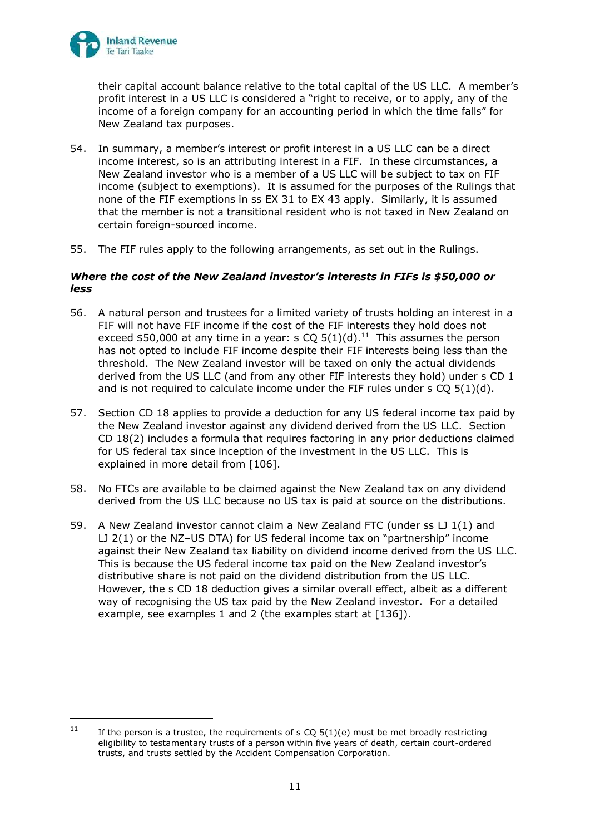

their capital account balance relative to the total capital of the US LLC. A member's profit interest in a US LLC is considered a "right to receive, or to apply, any of the income of a foreign company for an accounting period in which the time falls" for New Zealand tax purposes.

- 54. In summary, a member's interest or profit interest in a US LLC can be a direct income interest, so is an attributing interest in a FIF. In these circumstances, a New Zealand investor who is a member of a US LLC will be subject to tax on FIF income (subject to exemptions). It is assumed for the purposes of the Rulings that none of the FIF exemptions in ss EX 31 to EX 43 apply. Similarly, it is assumed that the member is not a transitional resident who is not taxed in New Zealand on certain foreign-sourced income.
- 55. The FIF rules apply to the following arrangements, as set out in the Rulings.

### *Where the cost of the New Zealand investor's interests in FIFs is \$50,000 or less*

- 56. A natural person and trustees for a limited variety of trusts holding an interest in a FIF will not have FIF income if the cost of the FIF interests they hold does not exceed \$50,000 at any time in a year: s  $CQ$  5(1)(d).<sup>11</sup> This assumes the person has not opted to include FIF income despite their FIF interests being less than the threshold. The New Zealand investor will be taxed on only the actual dividends derived from the US LLC (and from any other FIF interests they hold) under s CD 1 and is not required to calculate income under the FIF rules under  $s$  CQ  $5(1)(d)$ .
- 57. Section CD 18 applies to provide a deduction for any US federal income tax paid by the New Zealand investor against any dividend derived from the US LLC. Section CD 18(2) includes a formula that requires factoring in any prior deductions claimed for US federal tax since inception of the investment in the US LLC. This is explained in more detail from [\[106\]](#page-34-0).
- 58. No FTCs are available to be claimed against the New Zealand tax on any dividend derived from the US LLC because no US tax is paid at source on the distributions.
- 59. A New Zealand investor cannot claim a New Zealand FTC (under ss LJ 1(1) and LJ 2(1) or the NZ–US DTA) for US federal income tax on "partnership" income against their New Zealand tax liability on dividend income derived from the US LLC. This is because the US federal income tax paid on the New Zealand investor's distributive share is not paid on the dividend distribution from the US LLC. However, the s CD 18 deduction gives a similar overall effect, albeit as a different way of recognising the US tax paid by the New Zealand investor. For a detailed example, see examples 1 and 2 (the examples start at [\[136\]](#page-39-0)).

<sup>&</sup>lt;sup>11</sup> If the person is a trustee, the requirements of s CQ 5(1)(e) must be met broadly restricting eligibility to testamentary trusts of a person within five years of death, certain court-ordered trusts, and trusts settled by the Accident Compensation Corporation.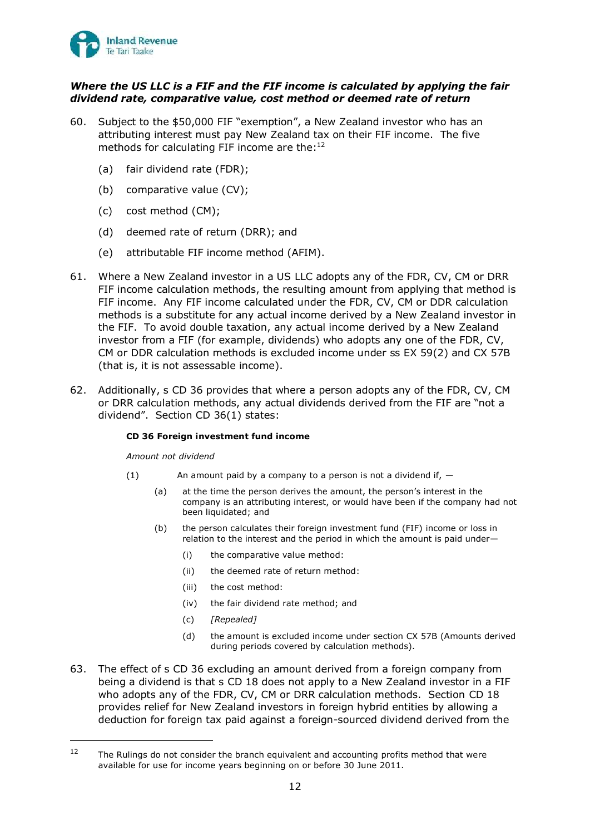

### *Where the US LLC is a FIF and the FIF income is calculated by applying the fair dividend rate, comparative value, cost method or deemed rate of return*

- 60. Subject to the \$50,000 FIF "exemption", a New Zealand investor who has an attributing interest must pay New Zealand tax on their FIF income. The five methods for calculating FIF income are the: $12$ 
	- (a) fair dividend rate (FDR);
	- (b) comparative value (CV);
	- (c) cost method (CM);
	- (d) deemed rate of return (DRR); and
	- (e) attributable FIF income method (AFIM).
- 61. Where a New Zealand investor in a US LLC adopts any of the FDR, CV, CM or DRR FIF income calculation methods, the resulting amount from applying that method is FIF income. Any FIF income calculated under the FDR, CV, CM or DDR calculation methods is a substitute for any actual income derived by a New Zealand investor in the FIF. To avoid double taxation, any actual income derived by a New Zealand investor from a FIF (for example, dividends) who adopts any one of the FDR, CV, CM or DDR calculation methods is excluded income under ss EX 59(2) and CX 57B (that is, it is not assessable income).
- 62. Additionally, s CD 36 provides that where a person adopts any of the FDR, CV, CM or DRR calculation methods, any actual dividends derived from the FIF are "not a dividend". Section CD 36(1) states:

#### **CD 36 Foreign investment fund income**

*Amount not dividend*

- (1) An amount paid by a company to a person is not a dividend if,  $-$ 
	- (a) at the time the person derives the amount, the person's interest in the company is an attributing interest, or would have been if the company had not been liquidated; and
	- (b) the person calculates their foreign investment fund (FIF) income or loss in relation to the interest and the period in which the amount is paid under—
		- (i) the comparative value method:
		- (ii) the deemed rate of return method:
		- (iii) the cost method:
		- (iv) the fair dividend rate method; and
		- (c) *[Repealed]*
		- (d) the amount is excluded income under section CX 57B (Amounts derived during periods covered by calculation methods).
- 63. The effect of s CD 36 excluding an amount derived from a foreign company from being a dividend is that s CD 18 does not apply to a New Zealand investor in a FIF who adopts any of the FDR, CV, CM or DRR calculation methods. Section CD 18 provides relief for New Zealand investors in foreign hybrid entities by allowing a deduction for foreign tax paid against a foreign-sourced dividend derived from the

 $12$  The Rulings do not consider the branch equivalent and accounting profits method that were available for use for income years beginning on or before 30 June 2011.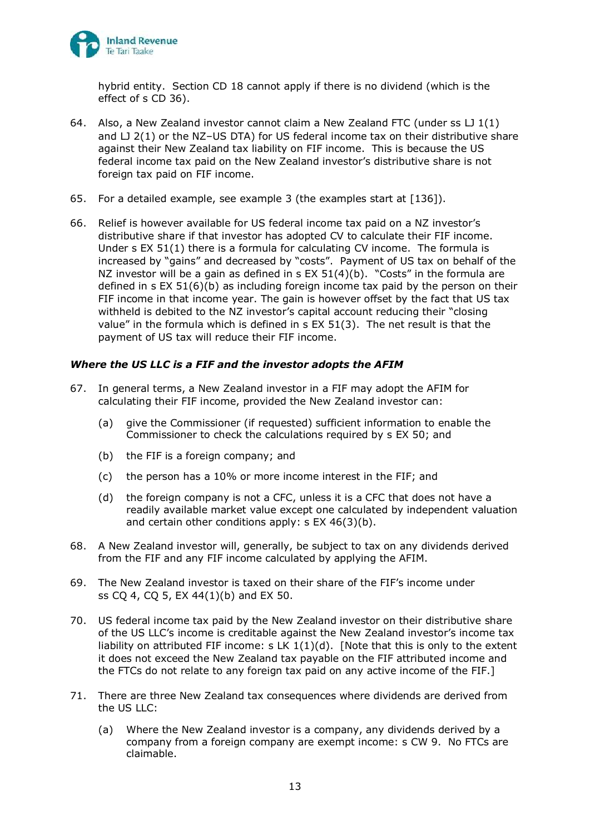

hybrid entity. Section CD 18 cannot apply if there is no dividend (which is the effect of s CD 36).

- 64. Also, a New Zealand investor cannot claim a New Zealand FTC (under ss LJ 1(1) and  $LJ$  2(1) or the NZ-US DTA) for US federal income tax on their distributive share against their New Zealand tax liability on FIF income. This is because the US federal income tax paid on the New Zealand investor's distributive share is not foreign tax paid on FIF income.
- 65. For a detailed example, see example 3 (the examples start at [\[136\]](#page-39-0)).
- 66. Relief is however available for US federal income tax paid on a NZ investor's distributive share if that investor has adopted CV to calculate their FIF income. Under s EX 51(1) there is a formula for calculating CV income. The formula is increased by "gains" and decreased by "costs". Payment of US tax on behalf of the NZ investor will be a gain as defined in s EX 51(4)(b). "Costs" in the formula are defined in s EX 51(6)(b) as including foreign income tax paid by the person on their FIF income in that income year. The gain is however offset by the fact that US tax withheld is debited to the NZ investor's capital account reducing their "closing value" in the formula which is defined in s EX 51(3). The net result is that the payment of US tax will reduce their FIF income.

### *Where the US LLC is a FIF and the investor adopts the AFIM*

- 67. In general terms, a New Zealand investor in a FIF may adopt the AFIM for calculating their FIF income, provided the New Zealand investor can:
	- (a) give the Commissioner (if requested) sufficient information to enable the Commissioner to check the calculations required by s EX 50; and
	- (b) the FIF is a foreign company; and
	- (c) the person has a 10% or more income interest in the FIF; and
	- (d) the foreign company is not a CFC, unless it is a CFC that does not have a readily available market value except one calculated by independent valuation and certain other conditions apply: s EX 46(3)(b).
- 68. A New Zealand investor will, generally, be subject to tax on any dividends derived from the FIF and any FIF income calculated by applying the AFIM.
- 69. The New Zealand investor is taxed on their share of the FIF's income under ss CQ 4, CQ 5, EX 44(1)(b) and EX 50.
- 70. US federal income tax paid by the New Zealand investor on their distributive share of the US LLC's income is creditable against the New Zealand investor's income tax liability on attributed FIF income: s LK  $1(1)(d)$ . [Note that this is only to the extent it does not exceed the New Zealand tax payable on the FIF attributed income and the FTCs do not relate to any foreign tax paid on any active income of the FIF.]
- 71. There are three New Zealand tax consequences where dividends are derived from the US LLC:
	- (a) Where the New Zealand investor is a company, any dividends derived by a company from a foreign company are exempt income: s CW 9. No FTCs are claimable.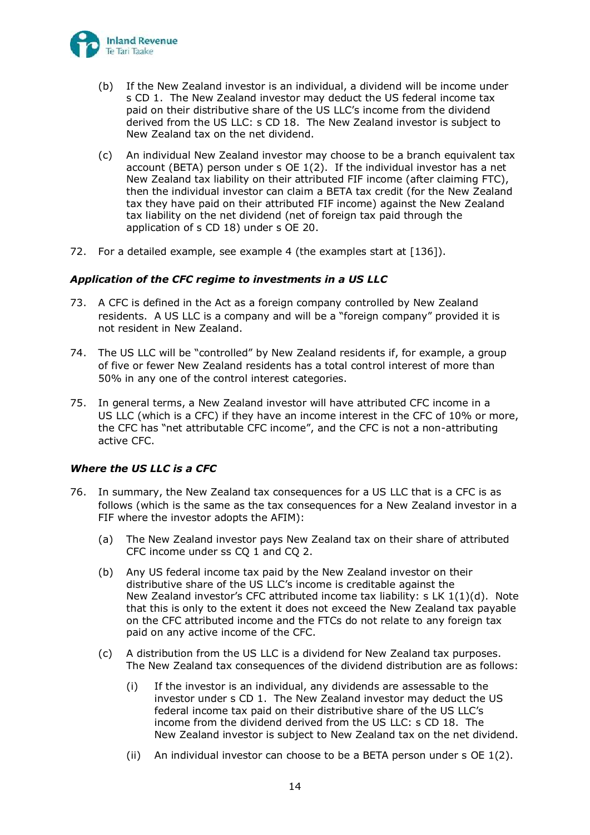

- (b) If the New Zealand investor is an individual, a dividend will be income under s CD 1. The New Zealand investor may deduct the US federal income tax paid on their distributive share of the US LLC's income from the dividend derived from the US LLC: s CD 18. The New Zealand investor is subject to New Zealand tax on the net dividend.
- (c) An individual New Zealand investor may choose to be a branch equivalent tax account (BETA) person under s OE 1(2). If the individual investor has a net New Zealand tax liability on their attributed FIF income (after claiming FTC), then the individual investor can claim a BETA tax credit (for the New Zealand tax they have paid on their attributed FIF income) against the New Zealand tax liability on the net dividend (net of foreign tax paid through the application of s CD 18) under s OE 20.
- 72. For a detailed example, see example 4 (the examples start at [\[136\]](#page-39-0)).

### *Application of the CFC regime to investments in a US LLC*

- <span id="page-28-0"></span>73. A CFC is defined in the Act as a foreign company controlled by New Zealand residents. A US LLC is a company and will be a "foreign company" provided it is not resident in New Zealand.
- 74. The US LLC will be "controlled" by New Zealand residents if, for example, a group of five or fewer New Zealand residents has a total control interest of more than 50% in any one of the control interest categories.
- 75. In general terms, a New Zealand investor will have attributed CFC income in a US LLC (which is a CFC) if they have an income interest in the CFC of 10% or more, the CFC has "net attributable CFC income", and the CFC is not a non-attributing active CFC.

### *Where the US LLC is a CFC*

- 76. In summary, the New Zealand tax consequences for a US LLC that is a CFC is as follows (which is the same as the tax consequences for a New Zealand investor in a FIF where the investor adopts the AFIM):
	- (a) The New Zealand investor pays New Zealand tax on their share of attributed CFC income under ss CQ 1 and CQ 2.
	- (b) Any US federal income tax paid by the New Zealand investor on their distributive share of the US LLC's income is creditable against the New Zealand investor's CFC attributed income tax liability: s LK 1(1)(d). Note that this is only to the extent it does not exceed the New Zealand tax payable on the CFC attributed income and the FTCs do not relate to any foreign tax paid on any active income of the CFC.
	- (c) A distribution from the US LLC is a dividend for New Zealand tax purposes. The New Zealand tax consequences of the dividend distribution are as follows:
		- (i) If the investor is an individual, any dividends are assessable to the investor under s CD 1. The New Zealand investor may deduct the US federal income tax paid on their distributive share of the US LLC's income from the dividend derived from the US LLC: s CD 18. The New Zealand investor is subject to New Zealand tax on the net dividend.
		- (ii) An individual investor can choose to be a BETA person under s OE 1(2).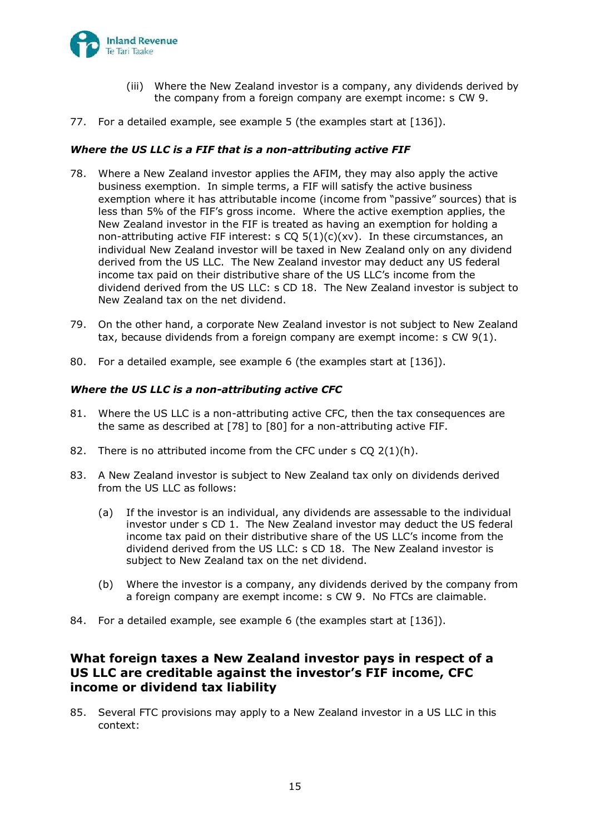

- (iii) Where the New Zealand investor is a company, any dividends derived by the company from a foreign company are exempt income: s CW 9.
- 77. For a detailed example, see example 5 (the examples start at [\[136\]](#page-39-0)).

### *Where the US LLC is a FIF that is a non-attributing active FIF*

- <span id="page-29-0"></span>78. Where a New Zealand investor applies the AFIM, they may also apply the active business exemption. In simple terms, a FIF will satisfy the active business exemption where it has attributable income (income from "passive" sources) that is less than 5% of the FIF's gross income. Where the active exemption applies, the New Zealand investor in the FIF is treated as having an exemption for holding a non-attributing active FIF interest: s  $CQ 5(1)(c)(xv)$ . In these circumstances, an individual New Zealand investor will be taxed in New Zealand only on any dividend derived from the US LLC. The New Zealand investor may deduct any US federal income tax paid on their distributive share of the US LLC's income from the dividend derived from the US LLC: s CD 18. The New Zealand investor is subject to New Zealand tax on the net dividend.
- 79. On the other hand, a corporate New Zealand investor is not subject to New Zealand tax, because dividends from a foreign company are exempt income: s CW 9(1).
- <span id="page-29-1"></span>80. For a detailed example, see example 6 (the examples start at [\[136\]](#page-39-0)).

### *Where the US LLC is a non-attributing active CFC*

- 81. Where the US LLC is a non-attributing active CFC, then the tax consequences are the same as described at [\[78\]](#page-29-0) to [\[80\]](#page-29-1) for a non-attributing active FIF.
- 82. There is no attributed income from the CFC under s CQ 2(1)(h).
- 83. A New Zealand investor is subject to New Zealand tax only on dividends derived from the US LLC as follows:
	- (a) If the investor is an individual, any dividends are assessable to the individual investor under s CD 1. The New Zealand investor may deduct the US federal income tax paid on their distributive share of the US LLC's income from the dividend derived from the US LLC: s CD 18. The New Zealand investor is subject to New Zealand tax on the net dividend.
	- (b) Where the investor is a company, any dividends derived by the company from a foreign company are exempt income: s CW 9. No FTCs are claimable.
- 84. For a detailed example, see example 6 (the examples start at [\[136\]](#page-39-0)).

## **What foreign taxes a New Zealand investor pays in respect of a US LLC are creditable against the investor's FIF income, CFC income or dividend tax liability**

85. Several FTC provisions may apply to a New Zealand investor in a US LLC in this context: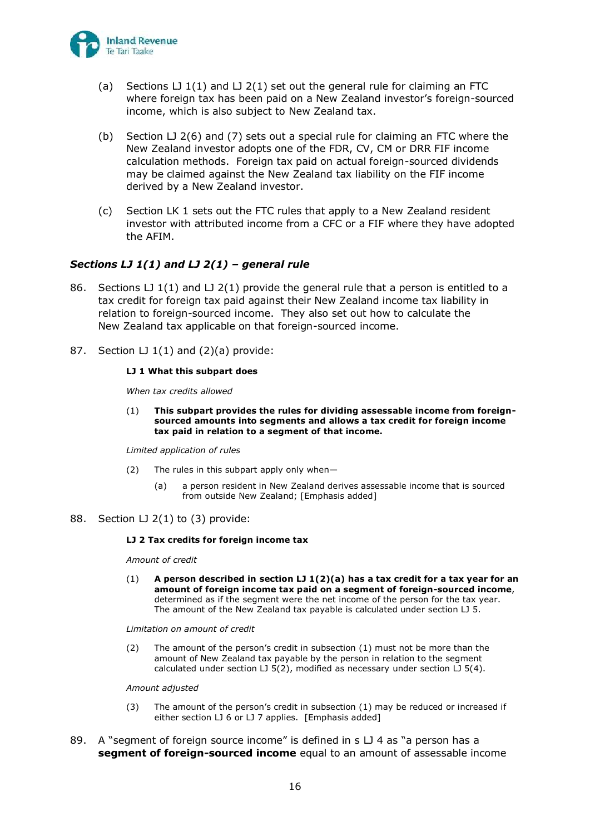

- (a) Sections  $LJ1(1)$  and  $LJ2(1)$  set out the general rule for claiming an FTC where foreign tax has been paid on a New Zealand investor's foreign-sourced income, which is also subject to New Zealand tax.
- (b) Section LJ 2(6) and (7) sets out a special rule for claiming an FTC where the New Zealand investor adopts one of the FDR, CV, CM or DRR FIF income calculation methods. Foreign tax paid on actual foreign-sourced dividends may be claimed against the New Zealand tax liability on the FIF income derived by a New Zealand investor.
- (c) Section LK 1 sets out the FTC rules that apply to a New Zealand resident investor with attributed income from a CFC or a FIF where they have adopted the AFIM.

### *Sections LJ 1(1) and LJ 2(1) – general rule*

- 86. Sections LJ 1(1) and LJ 2(1) provide the general rule that a person is entitled to a tax credit for foreign tax paid against their New Zealand income tax liability in relation to foreign-sourced income. They also set out how to calculate the New Zealand tax applicable on that foreign-sourced income.
- 87. Section LJ  $1(1)$  and  $(2)(a)$  provide:

#### **LJ 1 What this subpart does**

*When tax credits allowed*

(1) **This subpart provides the rules for dividing assessable income from foreignsourced amounts into segments and allows a tax credit for foreign income tax paid in relation to a segment of that income.**

*Limited application of rules*

- (2) The rules in this subpart apply only when—
	- (a) a person resident in New Zealand derives assessable income that is sourced from outside New Zealand; [Emphasis added]
- 88. Section LJ 2(1) to (3) provide:

#### **LJ 2 Tax credits for foreign income tax**

*Amount of credit*

(1) **A person described in section LJ 1(2)(a) has a tax credit for a tax year for an amount of foreign income tax paid on a segment of foreign-sourced income**, determined as if the segment were the net income of the person for the tax year. The amount of the New Zealand tax payable is calculated under section LJ 5.

*Limitation on amount of credit*

(2) The amount of the person's credit in subsection (1) must not be more than the amount of New Zealand tax payable by the person in relation to the segment calculated under section  $LJ$  5(2), modified as necessary under section  $LJ$  5(4).

#### *Amount adjusted*

- (3) The amount of the person's credit in subsection (1) may be reduced or increased if either section LJ 6 or LJ 7 applies. [Emphasis added]
- 89. A "segment of foreign source income" is defined in  $s \cup 4$  as "a person has a **segment of foreign-sourced income** equal to an amount of assessable income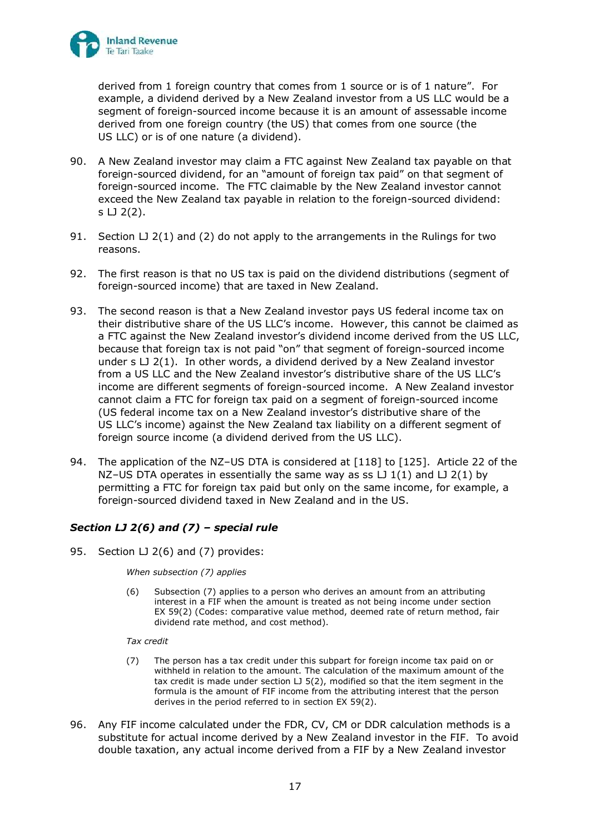

derived from 1 foreign country that comes from 1 source or is of 1 nature". For example, a dividend derived by a New Zealand investor from a US LLC would be a segment of foreign-sourced income because it is an amount of assessable income derived from one foreign country (the US) that comes from one source (the US LLC) or is of one nature (a dividend).

- 90. A New Zealand investor may claim a FTC against New Zealand tax payable on that foreign-sourced dividend, for an "amount of foreign tax paid" on that segment of foreign-sourced income. The FTC claimable by the New Zealand investor cannot exceed the New Zealand tax payable in relation to the foreign-sourced dividend: s LJ 2(2).
- 91. Section LJ 2(1) and (2) do not apply to the arrangements in the Rulings for two reasons.
- 92. The first reason is that no US tax is paid on the dividend distributions (segment of foreign-sourced income) that are taxed in New Zealand.
- 93. The second reason is that a New Zealand investor pays US federal income tax on their distributive share of the US LLC's income. However, this cannot be claimed as a FTC against the New Zealand investor's dividend income derived from the US LLC, because that foreign tax is not paid "on" that segment of foreign-sourced income under  $s \cup 2(1)$ . In other words, a dividend derived by a New Zealand investor from a US LLC and the New Zealand investor's distributive share of the US LLC's income are different segments of foreign-sourced income. A New Zealand investor cannot claim a FTC for foreign tax paid on a segment of foreign-sourced income (US federal income tax on a New Zealand investor's distributive share of the US LLC's income) against the New Zealand tax liability on a different segment of foreign source income (a dividend derived from the US LLC).
- 94. The application of the NZ–US DTA is considered at [\[118\]](#page-36-0) to [\[125\]](#page-37-0). Article 22 of the NZ-US DTA operates in essentially the same way as ss  $L_1(1)$  and  $L_2(1)$  by permitting a FTC for foreign tax paid but only on the same income, for example, a foreign-sourced dividend taxed in New Zealand and in the US.

## *Section LJ 2(6) and (7) – special rule*

95. Section LJ 2(6) and (7) provides:

*When subsection (7) applies*

(6) Subsection (7) applies to a person who derives an amount from an attributing interest in a FIF when the amount is treated as not being income under section EX 59(2) (Codes: comparative value method, deemed rate of return method, fair dividend rate method, and cost method).

*Tax credit*

- (7) The person has a tax credit under this subpart for foreign income tax paid on or withheld in relation to the amount. The calculation of the maximum amount of the tax credit is made under section LJ 5(2), modified so that the item segment in the formula is the amount of FIF income from the attributing interest that the person derives in the period referred to in section EX 59(2).
- 96. Any FIF income calculated under the FDR, CV, CM or DDR calculation methods is a substitute for actual income derived by a New Zealand investor in the FIF. To avoid double taxation, any actual income derived from a FIF by a New Zealand investor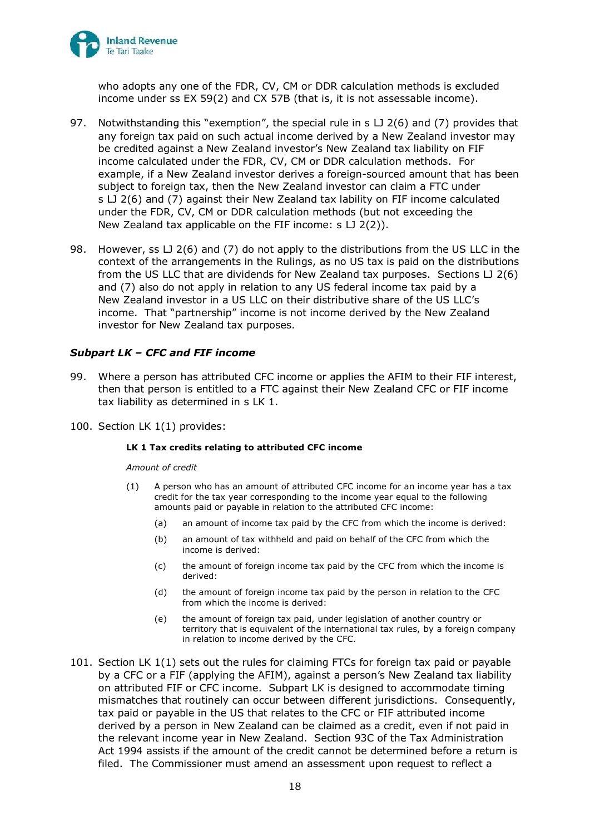

who adopts any one of the FDR, CV, CM or DDR calculation methods is excluded income under ss EX 59(2) and CX 57B (that is, it is not assessable income).

- 97. Notwithstanding this "exemption", the special rule in s LJ 2(6) and (7) provides that any foreign tax paid on such actual income derived by a New Zealand investor may be credited against a New Zealand investor's New Zealand tax liability on FIF income calculated under the FDR, CV, CM or DDR calculation methods. For example, if a New Zealand investor derives a foreign-sourced amount that has been subject to foreign tax, then the New Zealand investor can claim a FTC under s LJ 2(6) and (7) against their New Zealand tax lability on FIF income calculated under the FDR, CV, CM or DDR calculation methods (but not exceeding the New Zealand tax applicable on the FIF income: s LJ 2(2)).
- 98. However, ss LJ 2(6) and (7) do not apply to the distributions from the US LLC in the context of the arrangements in the Rulings, as no US tax is paid on the distributions from the US LLC that are dividends for New Zealand tax purposes. Sections  $L_1(6)$ and (7) also do not apply in relation to any US federal income tax paid by a New Zealand investor in a US LLC on their distributive share of the US LLC's income. That "partnership" income is not income derived by the New Zealand investor for New Zealand tax purposes.

### *Subpart LK – CFC and FIF income*

- 99. Where a person has attributed CFC income or applies the AFIM to their FIF interest, then that person is entitled to a FTC against their New Zealand CFC or FIF income tax liability as determined in s LK 1.
- 100. Section LK 1(1) provides:

#### **LK 1 Tax credits relating to attributed CFC income**

*Amount of credit*

- (1) A person who has an amount of attributed CFC income for an income year has a tax credit for the tax year corresponding to the income year equal to the following amounts paid or payable in relation to the attributed CFC income:
	- (a) an amount of income tax paid by the CFC from which the income is derived:
	- (b) an amount of tax withheld and paid on behalf of the CFC from which the income is derived:
	- (c) the amount of foreign income tax paid by the CFC from which the income is derived:
	- (d) the amount of foreign income tax paid by the person in relation to the CFC from which the income is derived:
	- (e) the amount of foreign tax paid, under legislation of another country or territory that is equivalent of the international tax rules, by a foreign company in relation to income derived by the CFC.
- 101. Section LK 1(1) sets out the rules for claiming FTCs for foreign tax paid or payable by a CFC or a FIF (applying the AFIM), against a person's New Zealand tax liability on attributed FIF or CFC income. Subpart LK is designed to accommodate timing mismatches that routinely can occur between different jurisdictions. Consequently, tax paid or payable in the US that relates to the CFC or FIF attributed income derived by a person in New Zealand can be claimed as a credit, even if not paid in the relevant income year in New Zealand. Section 93C of the Tax Administration Act 1994 assists if the amount of the credit cannot be determined before a return is filed. The Commissioner must amend an assessment upon request to reflect a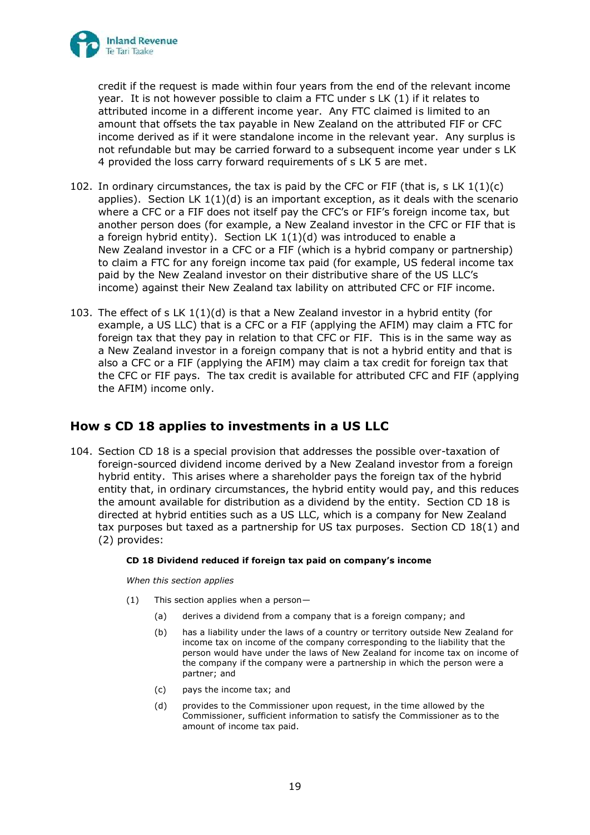

credit if the request is made within four years from the end of the relevant income year. It is not however possible to claim a FTC under s LK (1) if it relates to attributed income in a different income year. Any FTC claimed is limited to an amount that offsets the tax payable in New Zealand on the attributed FIF or CFC income derived as if it were standalone income in the relevant year. Any surplus is not refundable but may be carried forward to a subsequent income year under s LK 4 provided the loss carry forward requirements of s LK 5 are met.

- 102. In ordinary circumstances, the tax is paid by the CFC or FIF (that is, s LK  $1(1)(c)$ ) applies). Section LK  $1(1)(d)$  is an important exception, as it deals with the scenario where a CFC or a FIF does not itself pay the CFC's or FIF's foreign income tax, but another person does (for example, a New Zealand investor in the CFC or FIF that is a foreign hybrid entity). Section LK  $1(1)(d)$  was introduced to enable a New Zealand investor in a CFC or a FIF (which is a hybrid company or partnership) to claim a FTC for any foreign income tax paid (for example, US federal income tax paid by the New Zealand investor on their distributive share of the US LLC's income) against their New Zealand tax lability on attributed CFC or FIF income.
- 103. The effect of s LK 1(1)(d) is that a New Zealand investor in a hybrid entity (for example, a US LLC) that is a CFC or a FIF (applying the AFIM) may claim a FTC for foreign tax that they pay in relation to that CFC or FIF. This is in the same way as a New Zealand investor in a foreign company that is not a hybrid entity and that is also a CFC or a FIF (applying the AFIM) may claim a tax credit for foreign tax that the CFC or FIF pays. The tax credit is available for attributed CFC and FIF (applying the AFIM) income only.

## **How s CD 18 applies to investments in a US LLC**

104. Section CD 18 is a special provision that addresses the possible over-taxation of foreign-sourced dividend income derived by a New Zealand investor from a foreign hybrid entity. This arises where a shareholder pays the foreign tax of the hybrid entity that, in ordinary circumstances, the hybrid entity would pay, and this reduces the amount available for distribution as a dividend by the entity. Section CD 18 is directed at hybrid entities such as a US LLC, which is a company for New Zealand tax purposes but taxed as a partnership for US tax purposes. Section CD  $18(1)$  and (2) provides:

#### **CD 18 Dividend reduced if foreign tax paid on company's income**

*When this section applies*

- (1) This section applies when a person—
	- (a) derives a dividend from a company that is a foreign company; and
	- (b) has a liability under the laws of a country or territory outside New Zealand for income tax on income of the company corresponding to the liability that the person would have under the laws of New Zealand for income tax on income of the company if the company were a partnership in which the person were a partner; and
	- (c) pays the income tax; and
	- (d) provides to the Commissioner upon request, in the time allowed by the Commissioner, sufficient information to satisfy the Commissioner as to the amount of income tax paid.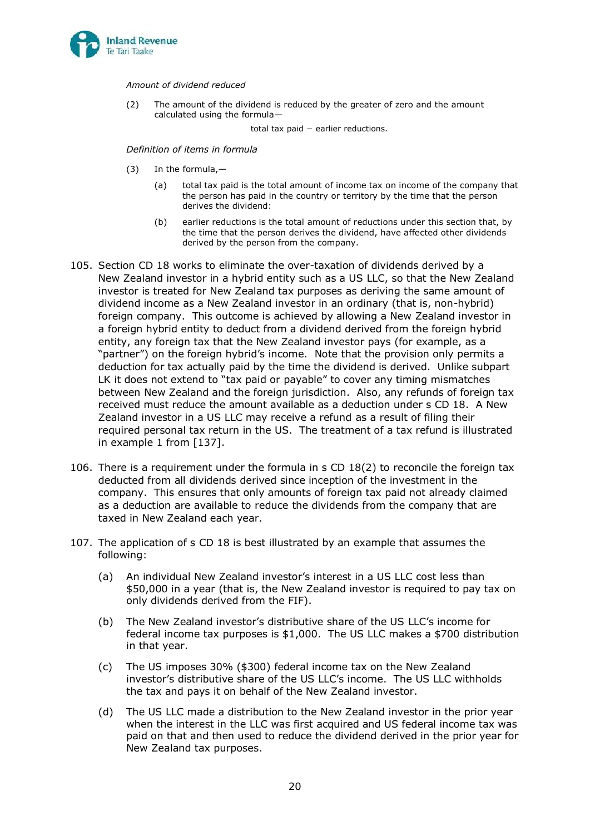

*Amount of dividend reduced*

(2) The amount of the dividend is reduced by the greater of zero and the amount calculated using the formula—

total tax paid − earlier reductions.

*Definition of items in formula*

- (3) In the formula,—
	- (a) total tax paid is the total amount of income tax on income of the company that the person has paid in the country or territory by the time that the person derives the dividend:
	- (b) earlier reductions is the total amount of reductions under this section that, by the time that the person derives the dividend, have affected other dividends derived by the person from the company.
- 105. Section CD 18 works to eliminate the over-taxation of dividends derived by a New Zealand investor in a hybrid entity such as a US LLC, so that the New Zealand investor is treated for New Zealand tax purposes as deriving the same amount of dividend income as a New Zealand investor in an ordinary (that is, non-hybrid) foreign company. This outcome is achieved by allowing a New Zealand investor in a foreign hybrid entity to deduct from a dividend derived from the foreign hybrid entity, any foreign tax that the New Zealand investor pays (for example, as a "partner") on the foreign hybrid's income. Note that the provision only permits a deduction for tax actually paid by the time the dividend is derived. Unlike subpart LK it does not extend to "tax paid or payable" to cover any timing mismatches between New Zealand and the foreign jurisdiction. Also, any refunds of foreign tax received must reduce the amount available as a deduction under s CD 18. A New Zealand investor in a US LLC may receive a refund as a result of filing their required personal tax return in the US. The treatment of a tax refund is illustrated in example 1 from [\[137\]](#page-40-0).
- <span id="page-34-0"></span>106. There is a requirement under the formula in s CD 18(2) to reconcile the foreign tax deducted from all dividends derived since inception of the investment in the company. This ensures that only amounts of foreign tax paid not already claimed as a deduction are available to reduce the dividends from the company that are taxed in New Zealand each year.
- 107. The application of s CD 18 is best illustrated by an example that assumes the following:
	- (a) An individual New Zealand investor's interest in a US LLC cost less than \$50,000 in a year (that is, the New Zealand investor is required to pay tax on only dividends derived from the FIF).
	- (b) The New Zealand investor's distributive share of the US LLC's income for federal income tax purposes is \$1,000. The US LLC makes a \$700 distribution in that year.
	- (c) The US imposes 30% (\$300) federal income tax on the New Zealand investor's distributive share of the US LLC's income. The US LLC withholds the tax and pays it on behalf of the New Zealand investor.
	- (d) The US LLC made a distribution to the New Zealand investor in the prior year when the interest in the LLC was first acquired and US federal income tax was paid on that and then used to reduce the dividend derived in the prior year for New Zealand tax purposes.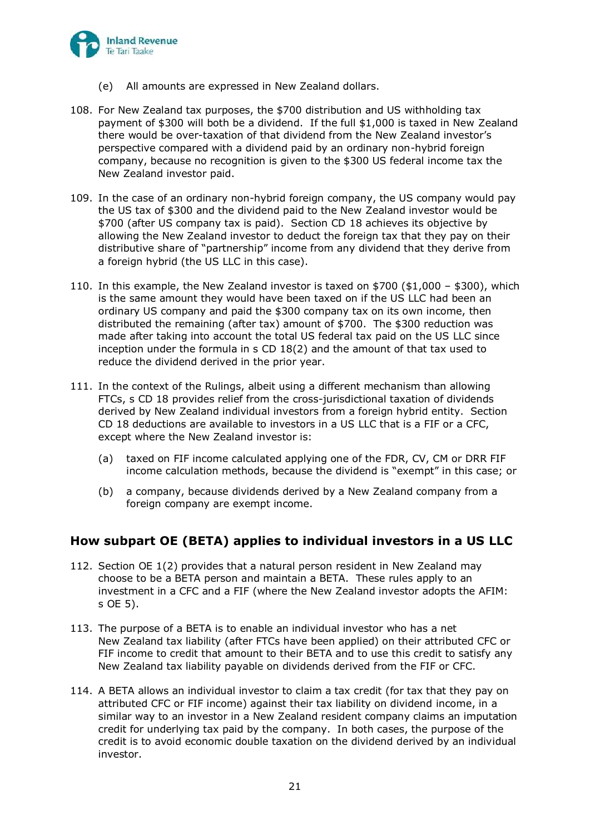

- (e) All amounts are expressed in New Zealand dollars.
- 108. For New Zealand tax purposes, the \$700 distribution and US withholding tax payment of \$300 will both be a dividend. If the full \$1,000 is taxed in New Zealand there would be over-taxation of that dividend from the New Zealand investor's perspective compared with a dividend paid by an ordinary non-hybrid foreign company, because no recognition is given to the \$300 US federal income tax the New Zealand investor paid.
- 109. In the case of an ordinary non-hybrid foreign company, the US company would pay the US tax of \$300 and the dividend paid to the New Zealand investor would be \$700 (after US company tax is paid). Section CD 18 achieves its objective by allowing the New Zealand investor to deduct the foreign tax that they pay on their distributive share of "partnership" income from any dividend that they derive from a foreign hybrid (the US LLC in this case).
- 110. In this example, the New Zealand investor is taxed on \$700 (\$1,000 \$300), which is the same amount they would have been taxed on if the US LLC had been an ordinary US company and paid the \$300 company tax on its own income, then distributed the remaining (after tax) amount of \$700. The \$300 reduction was made after taking into account the total US federal tax paid on the US LLC since inception under the formula in s CD 18(2) and the amount of that tax used to reduce the dividend derived in the prior year.
- 111. In the context of the Rulings, albeit using a different mechanism than allowing FTCs, s CD 18 provides relief from the cross-jurisdictional taxation of dividends derived by New Zealand individual investors from a foreign hybrid entity. Section CD 18 deductions are available to investors in a US LLC that is a FIF or a CFC, except where the New Zealand investor is:
	- (a) taxed on FIF income calculated applying one of the FDR, CV, CM or DRR FIF income calculation methods, because the dividend is "exempt" in this case; or
	- (b) a company, because dividends derived by a New Zealand company from a foreign company are exempt income.

## **How subpart OE (BETA) applies to individual investors in a US LLC**

- 112. Section OE 1(2) provides that a natural person resident in New Zealand may choose to be a BETA person and maintain a BETA. These rules apply to an investment in a CFC and a FIF (where the New Zealand investor adopts the AFIM: s OE 5).
- 113. The purpose of a BETA is to enable an individual investor who has a net New Zealand tax liability (after FTCs have been applied) on their attributed CFC or FIF income to credit that amount to their BETA and to use this credit to satisfy any New Zealand tax liability payable on dividends derived from the FIF or CFC.
- 114. A BETA allows an individual investor to claim a tax credit (for tax that they pay on attributed CFC or FIF income) against their tax liability on dividend income, in a similar way to an investor in a New Zealand resident company claims an imputation credit for underlying tax paid by the company. In both cases, the purpose of the credit is to avoid economic double taxation on the dividend derived by an individual investor.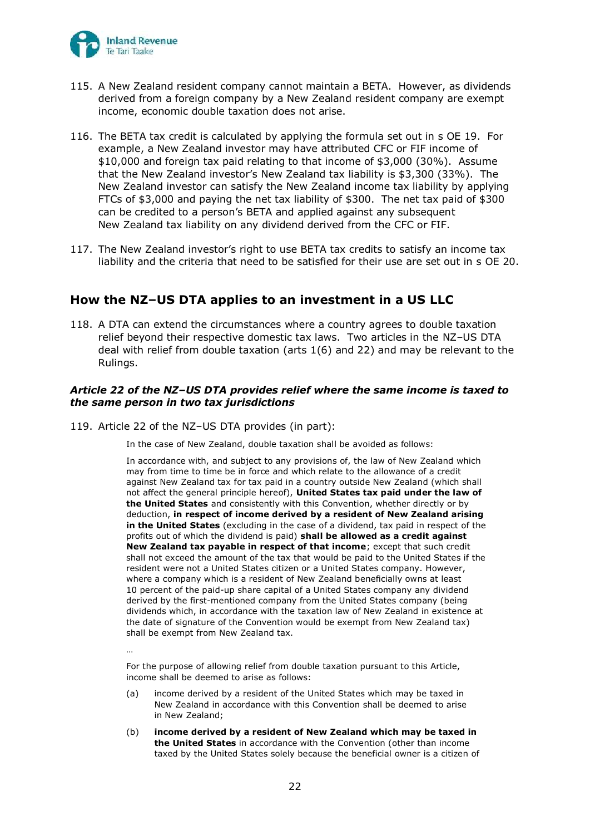

- 115. A New Zealand resident company cannot maintain a BETA. However, as dividends derived from a foreign company by a New Zealand resident company are exempt income, economic double taxation does not arise.
- 116. The BETA tax credit is calculated by applying the formula set out in s OE 19. For example, a New Zealand investor may have attributed CFC or FIF income of \$10,000 and foreign tax paid relating to that income of \$3,000 (30%). Assume that the New Zealand investor's New Zealand tax liability is \$3,300 (33%). The New Zealand investor can satisfy the New Zealand income tax liability by applying FTCs of \$3,000 and paying the net tax liability of \$300. The net tax paid of \$300 can be credited to a person's BETA and applied against any subsequent New Zealand tax liability on any dividend derived from the CFC or FIF.
- 117. The New Zealand investor's right to use BETA tax credits to satisfy an income tax liability and the criteria that need to be satisfied for their use are set out in s OE 20.

## **How the NZ–US DTA applies to an investment in a US LLC**

<span id="page-36-0"></span>118. A DTA can extend the circumstances where a country agrees to double taxation relief beyond their respective domestic tax laws. Two articles in the NZ–US DTA deal with relief from double taxation (arts 1(6) and 22) and may be relevant to the Rulings.

### *Article 22 of the NZ–US DTA provides relief where the same income is taxed to the same person in two tax jurisdictions*

119. Article 22 of the NZ–US DTA provides (in part):

In the case of New Zealand, double taxation shall be avoided as follows:

In accordance with, and subject to any provisions of, the law of New Zealand which may from time to time be in force and which relate to the allowance of a credit against New Zealand tax for tax paid in a country outside New Zealand (which shall not affect the general principle hereof), **United States tax paid under the law of the United States** and consistently with this Convention, whether directly or by deduction, **in respect of income derived by a resident of New Zealand arising in the United States** (excluding in the case of a dividend, tax paid in respect of the profits out of which the dividend is paid) **shall be allowed as a credit against New Zealand tax payable in respect of that income**; except that such credit shall not exceed the amount of the tax that would be paid to the United States if the resident were not a United States citizen or a United States company. However, where a company which is a resident of New Zealand beneficially owns at least 10 percent of the paid-up share capital of a United States company any dividend derived by the first-mentioned company from the United States company (being dividends which, in accordance with the taxation law of New Zealand in existence at the date of signature of the Convention would be exempt from New Zealand tax) shall be exempt from New Zealand tax.

…

For the purpose of allowing relief from double taxation pursuant to this Article, income shall be deemed to arise as follows:

- (a) income derived by a resident of the United States which may be taxed in New Zealand in accordance with this Convention shall be deemed to arise in New Zealand;
- (b) **income derived by a resident of New Zealand which may be taxed in the United States** in accordance with the Convention (other than income taxed by the United States solely because the beneficial owner is a citizen of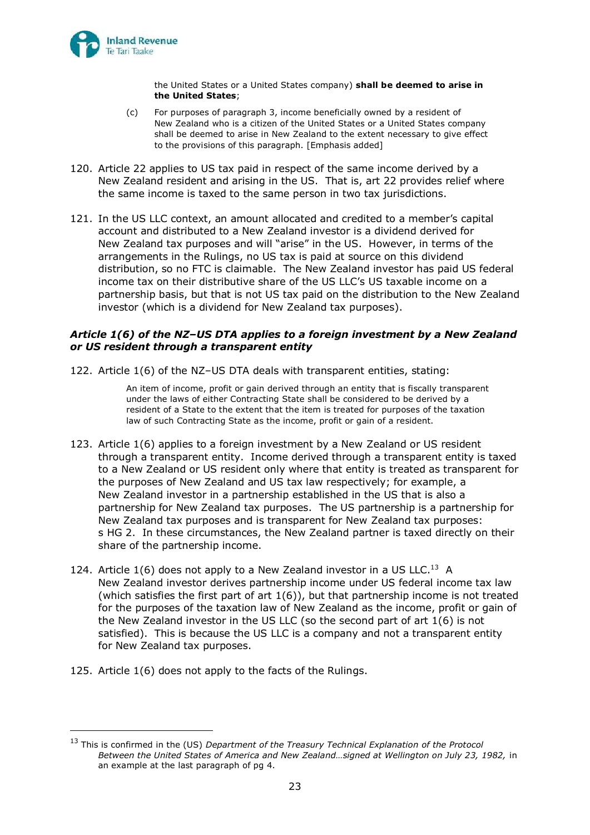

the United States or a United States company) **shall be deemed to arise in the United States**;

- (c) For purposes of paragraph 3, income beneficially owned by a resident of New Zealand who is a citizen of the United States or a United States company shall be deemed to arise in New Zealand to the extent necessary to give effect to the provisions of this paragraph. [Emphasis added]
- 120. Article 22 applies to US tax paid in respect of the same income derived by a New Zealand resident and arising in the US. That is, art 22 provides relief where the same income is taxed to the same person in two tax jurisdictions.
- 121. In the US LLC context, an amount allocated and credited to a member's capital account and distributed to a New Zealand investor is a dividend derived for New Zealand tax purposes and will "arise" in the US. However, in terms of the arrangements in the Rulings, no US tax is paid at source on this dividend distribution, so no FTC is claimable. The New Zealand investor has paid US federal income tax on their distributive share of the US LLC's US taxable income on a partnership basis, but that is not US tax paid on the distribution to the New Zealand investor (which is a dividend for New Zealand tax purposes).

### *Article 1(6) of the NZ–US DTA applies to a foreign investment by a New Zealand or US resident through a transparent entity*

122. Article 1(6) of the NZ–US DTA deals with transparent entities, stating:

An item of income, profit or gain derived through an entity that is fiscally transparent under the laws of either Contracting State shall be considered to be derived by a resident of a State to the extent that the item is treated for purposes of the taxation law of such Contracting State as the income, profit or gain of a resident.

- 123. Article 1(6) applies to a foreign investment by a New Zealand or US resident through a transparent entity. Income derived through a transparent entity is taxed to a New Zealand or US resident only where that entity is treated as transparent for the purposes of New Zealand and US tax law respectively; for example, a New Zealand investor in a partnership established in the US that is also a partnership for New Zealand tax purposes. The US partnership is a partnership for New Zealand tax purposes and is transparent for New Zealand tax purposes: s HG 2. In these circumstances, the New Zealand partner is taxed directly on their share of the partnership income.
- 124. Article  $1(6)$  does not apply to a New Zealand investor in a US LLC.<sup>13</sup> A New Zealand investor derives partnership income under US federal income tax law (which satisfies the first part of art  $1(6)$ ), but that partnership income is not treated for the purposes of the taxation law of New Zealand as the income, profit or gain of the New Zealand investor in the US LLC (so the second part of art 1(6) is not satisfied). This is because the US LLC is a company and not a transparent entity for New Zealand tax purposes.
- <span id="page-37-0"></span>125. Article 1(6) does not apply to the facts of the Rulings.

<sup>13</sup> This is confirmed in the (US) *Department of the Treasury Technical Explanation of the Protocol Between the United States of America and New Zealand…signed at Wellington on July 23, 1982,* in an example at the last paragraph of pg 4.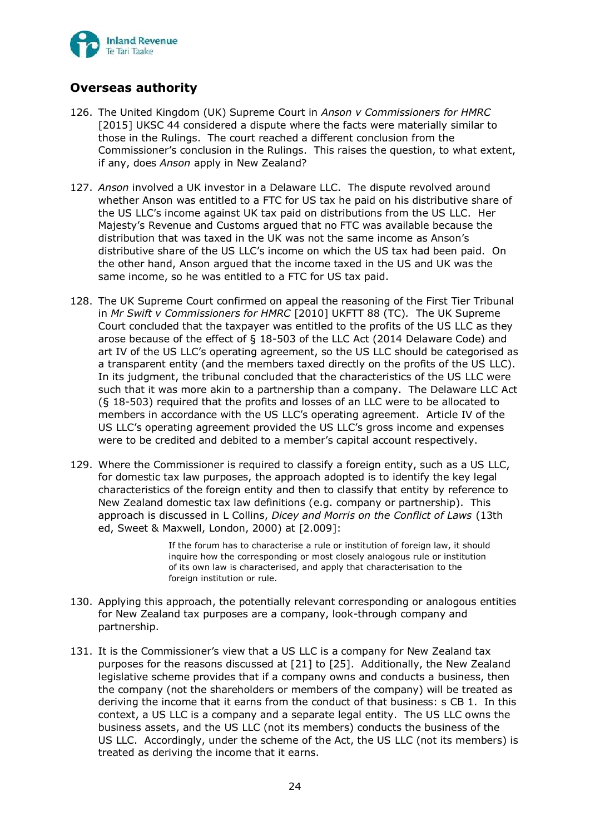

# **Overseas authority**

- 126. The United Kingdom (UK) Supreme Court in *Anson v Commissioners for HMRC*  [2015] UKSC 44 considered a dispute where the facts were materially similar to those in the Rulings. The court reached a different conclusion from the Commissioner's conclusion in the Rulings. This raises the question, to what extent, if any, does *Anson* apply in New Zealand?
- 127. *Anson* involved a UK investor in a Delaware LLC. The dispute revolved around whether Anson was entitled to a FTC for US tax he paid on his distributive share of the US LLC's income against UK tax paid on distributions from the US LLC. Her Majesty's Revenue and Customs argued that no FTC was available because the distribution that was taxed in the UK was not the same income as Anson's distributive share of the US LLC's income on which the US tax had been paid. On the other hand, Anson argued that the income taxed in the US and UK was the same income, so he was entitled to a FTC for US tax paid.
- 128. The UK Supreme Court confirmed on appeal the reasoning of the First Tier Tribunal in *Mr Swift v Commissioners for HMRC* [2010] UKFTT 88 (TC)*.* The UK Supreme Court concluded that the taxpayer was entitled to the profits of the US LLC as they arose because of the effect of § 18-503 of the LLC Act (2014 Delaware Code) and art IV of the US LLC's operating agreement, so the US LLC should be categorised as a transparent entity (and the members taxed directly on the profits of the US LLC). In its judgment, the tribunal concluded that the characteristics of the US LLC were such that it was more akin to a partnership than a company. The Delaware LLC Act (§ 18-503) required that the profits and losses of an LLC were to be allocated to members in accordance with the US LLC's operating agreement. Article IV of the US LLC's operating agreement provided the US LLC's gross income and expenses were to be credited and debited to a member's capital account respectively.
- 129. Where the Commissioner is required to classify a foreign entity, such as a US LLC, for domestic tax law purposes, the approach adopted is to identify the key legal characteristics of the foreign entity and then to classify that entity by reference to New Zealand domestic tax law definitions (e.g. company or partnership). This approach is discussed in L Collins, *Dicey and Morris on the Conflict of Laws* (13th ed, Sweet & Maxwell, London, 2000) at [2.009]:

If the forum has to characterise a rule or institution of foreign law, it should inquire how the corresponding or most closely analogous rule or institution of its own law is characterised, and apply that characterisation to the foreign institution or rule.

- 130. Applying this approach, the potentially relevant corresponding or analogous entities for New Zealand tax purposes are a company, look-through company and partnership.
- 131. It is the Commissioner's view that a US LLC is a company for New Zealand tax purposes for the reasons discussed at [\[21\]](#page-19-0) to [\[25\]](#page-20-1). Additionally, the New Zealand legislative scheme provides that if a company owns and conducts a business, then the company (not the shareholders or members of the company) will be treated as deriving the income that it earns from the conduct of that business: s CB 1. In this context, a US LLC is a company and a separate legal entity. The US LLC owns the business assets, and the US LLC (not its members) conducts the business of the US LLC. Accordingly, under the scheme of the Act, the US LLC (not its members) is treated as deriving the income that it earns.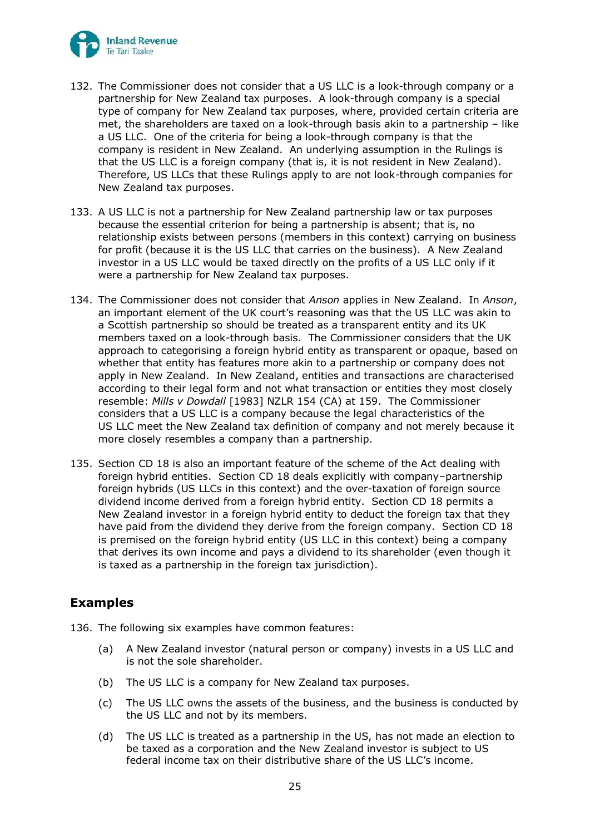

- 132. The Commissioner does not consider that a US LLC is a look-through company or a partnership for New Zealand tax purposes. A look-through company is a special type of company for New Zealand tax purposes, where, provided certain criteria are met, the shareholders are taxed on a look-through basis akin to a partnership – like a US LLC. One of the criteria for being a look-through company is that the company is resident in New Zealand. An underlying assumption in the Rulings is that the US LLC is a foreign company (that is, it is not resident in New Zealand). Therefore, US LLCs that these Rulings apply to are not look-through companies for New Zealand tax purposes.
- 133. A US LLC is not a partnership for New Zealand partnership law or tax purposes because the essential criterion for being a partnership is absent; that is, no relationship exists between persons (members in this context) carrying on business for profit (because it is the US LLC that carries on the business). A New Zealand investor in a US LLC would be taxed directly on the profits of a US LLC only if it were a partnership for New Zealand tax purposes.
- 134. The Commissioner does not consider that *Anson* applies in New Zealand. In *Anson*, an important element of the UK court's reasoning was that the US LLC was akin to a Scottish partnership so should be treated as a transparent entity and its UK members taxed on a look-through basis. The Commissioner considers that the UK approach to categorising a foreign hybrid entity as transparent or opaque, based on whether that entity has features more akin to a partnership or company does not apply in New Zealand. In New Zealand, entities and transactions are characterised according to their legal form and not what transaction or entities they most closely resemble: *Mills v Dowdall* [1983] NZLR 154 (CA) at 159. The Commissioner considers that a US LLC is a company because the legal characteristics of the US LLC meet the New Zealand tax definition of company and not merely because it more closely resembles a company than a partnership.
- 135. Section CD 18 is also an important feature of the scheme of the Act dealing with foreign hybrid entities. Section CD 18 deals explicitly with company–partnership foreign hybrids (US LLCs in this context) and the over-taxation of foreign source dividend income derived from a foreign hybrid entity. Section CD 18 permits a New Zealand investor in a foreign hybrid entity to deduct the foreign tax that they have paid from the dividend they derive from the foreign company. Section CD 18 is premised on the foreign hybrid entity (US LLC in this context) being a company that derives its own income and pays a dividend to its shareholder (even though it is taxed as a partnership in the foreign tax jurisdiction).

# **Examples**

- <span id="page-39-0"></span>136. The following six examples have common features:
	- (a) A New Zealand investor (natural person or company) invests in a US LLC and is not the sole shareholder.
	- (b) The US LLC is a company for New Zealand tax purposes.
	- (c) The US LLC owns the assets of the business, and the business is conducted by the US LLC and not by its members.
	- (d) The US LLC is treated as a partnership in the US, has not made an election to be taxed as a corporation and the New Zealand investor is subject to US federal income tax on their distributive share of the US LLC's income.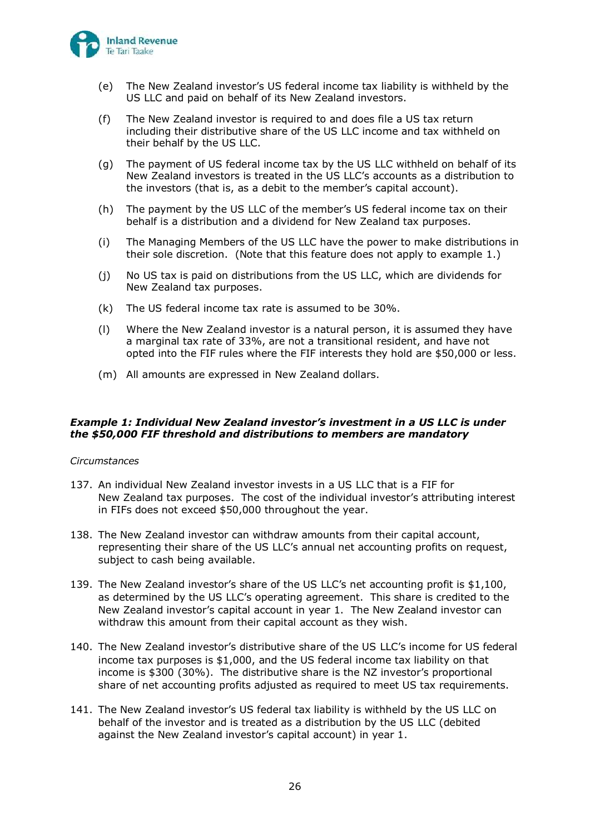

- (e) The New Zealand investor's US federal income tax liability is withheld by the US LLC and paid on behalf of its New Zealand investors.
- (f) The New Zealand investor is required to and does file a US tax return including their distributive share of the US LLC income and tax withheld on their behalf by the US LLC.
- (g) The payment of US federal income tax by the US LLC withheld on behalf of its New Zealand investors is treated in the US LLC's accounts as a distribution to the investors (that is, as a debit to the member's capital account).
- (h) The payment by the US LLC of the member's US federal income tax on their behalf is a distribution and a dividend for New Zealand tax purposes.
- (i) The Managing Members of the US LLC have the power to make distributions in their sole discretion. (Note that this feature does not apply to example 1.)
- (j) No US tax is paid on distributions from the US LLC, which are dividends for New Zealand tax purposes.
- (k) The US federal income tax rate is assumed to be 30%.
- (l) Where the New Zealand investor is a natural person, it is assumed they have a marginal tax rate of 33%, are not a transitional resident, and have not opted into the FIF rules where the FIF interests they hold are \$50,000 or less.
- (m) All amounts are expressed in New Zealand dollars.

### *Example 1: Individual New Zealand investor's investment in a US LLC is under the \$50,000 FIF threshold and distributions to members are mandatory*

### *Circumstances*

- <span id="page-40-0"></span>137. An individual New Zealand investor invests in a US LLC that is a FIF for New Zealand tax purposes. The cost of the individual investor's attributing interest in FIFs does not exceed \$50,000 throughout the year.
- 138. The New Zealand investor can withdraw amounts from their capital account, representing their share of the US LLC's annual net accounting profits on request, subject to cash being available.
- 139. The New Zealand investor's share of the US LLC's net accounting profit is \$1,100, as determined by the US LLC's operating agreement. This share is credited to the New Zealand investor's capital account in year 1. The New Zealand investor can withdraw this amount from their capital account as they wish.
- 140. The New Zealand investor's distributive share of the US LLC's income for US federal income tax purposes is \$1,000, and the US federal income tax liability on that income is \$300 (30%). The distributive share is the NZ investor's proportional share of net accounting profits adjusted as required to meet US tax requirements.
- 141. The New Zealand investor's US federal tax liability is withheld by the US LLC on behalf of the investor and is treated as a distribution by the US LLC (debited against the New Zealand investor's capital account) in year 1.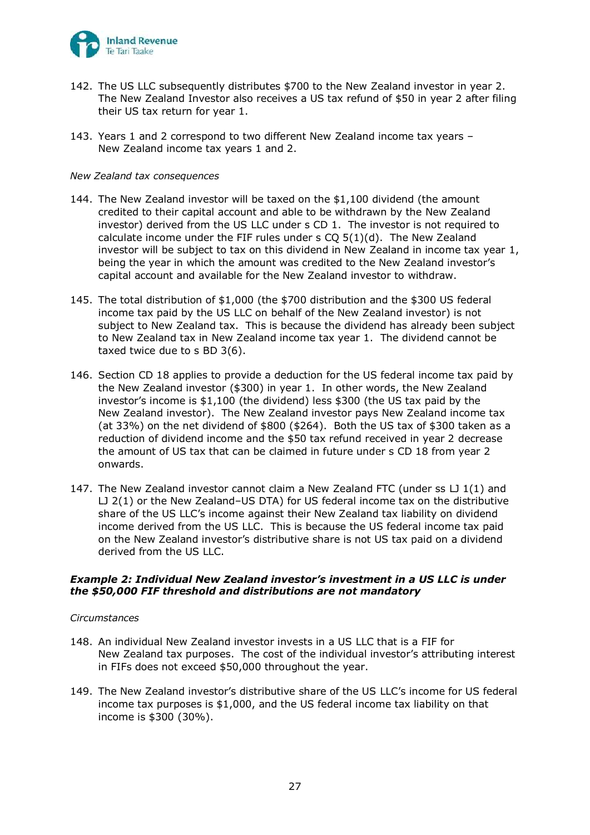

- 142. The US LLC subsequently distributes \$700 to the New Zealand investor in year 2. The New Zealand Investor also receives a US tax refund of \$50 in year 2 after filing their US tax return for year 1.
- 143. Years 1 and 2 correspond to two different New Zealand income tax years New Zealand income tax years 1 and 2.

#### *New Zealand tax consequences*

- 144. The New Zealand investor will be taxed on the \$1,100 dividend (the amount credited to their capital account and able to be withdrawn by the New Zealand investor) derived from the US LLC under s CD 1. The investor is not required to calculate income under the FIF rules under s CQ 5(1)(d). The New Zealand investor will be subject to tax on this dividend in New Zealand in income tax year 1, being the year in which the amount was credited to the New Zealand investor's capital account and available for the New Zealand investor to withdraw.
- 145. The total distribution of \$1,000 (the \$700 distribution and the \$300 US federal income tax paid by the US LLC on behalf of the New Zealand investor) is not subject to New Zealand tax. This is because the dividend has already been subject to New Zealand tax in New Zealand income tax year 1. The dividend cannot be taxed twice due to s BD 3(6).
- 146. Section CD 18 applies to provide a deduction for the US federal income tax paid by the New Zealand investor (\$300) in year 1. In other words, the New Zealand investor's income is \$1,100 (the dividend) less \$300 (the US tax paid by the New Zealand investor). The New Zealand investor pays New Zealand income tax (at 33%) on the net dividend of \$800 (\$264). Both the US tax of \$300 taken as a reduction of dividend income and the \$50 tax refund received in year 2 decrease the amount of US tax that can be claimed in future under s CD 18 from year 2 onwards.
- 147. The New Zealand investor cannot claim a New Zealand FTC (under ss  $\Box$  1(1) and LJ 2(1) or the New Zealand–US DTA) for US federal income tax on the distributive share of the US LLC's income against their New Zealand tax liability on dividend income derived from the US LLC. This is because the US federal income tax paid on the New Zealand investor's distributive share is not US tax paid on a dividend derived from the US LLC.

### *Example 2: Individual New Zealand investor's investment in a US LLC is under the \$50,000 FIF threshold and distributions are not mandatory*

#### *Circumstances*

- 148. An individual New Zealand investor invests in a US LLC that is a FIF for New Zealand tax purposes. The cost of the individual investor's attributing interest in FIFs does not exceed \$50,000 throughout the year.
- 149. The New Zealand investor's distributive share of the US LLC's income for US federal income tax purposes is \$1,000, and the US federal income tax liability on that income is \$300 (30%).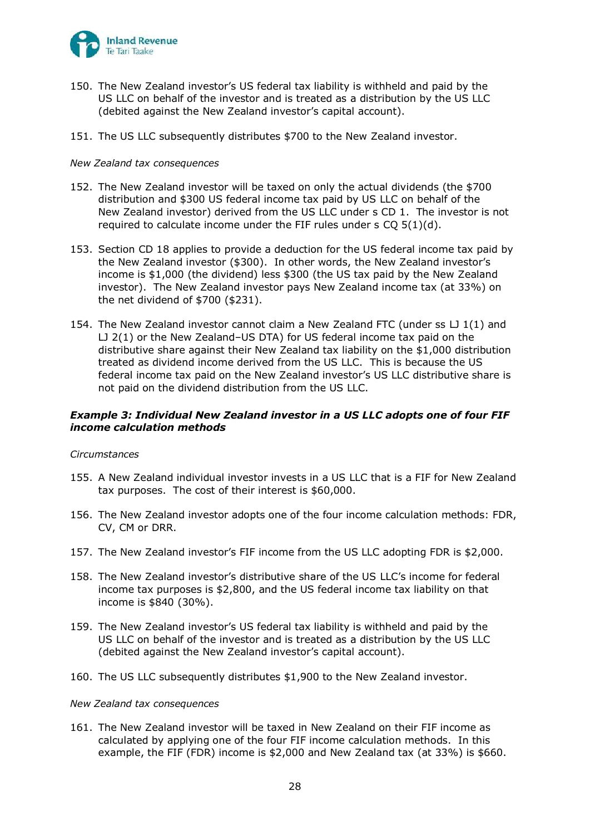

- 150. The New Zealand investor's US federal tax liability is withheld and paid by the US LLC on behalf of the investor and is treated as a distribution by the US LLC (debited against the New Zealand investor's capital account).
- 151. The US LLC subsequently distributes \$700 to the New Zealand investor.

#### *New Zealand tax consequences*

- 152. The New Zealand investor will be taxed on only the actual dividends (the \$700 distribution and \$300 US federal income tax paid by US LLC on behalf of the New Zealand investor) derived from the US LLC under s CD 1. The investor is not required to calculate income under the FIF rules under s CQ 5(1)(d).
- 153. Section CD 18 applies to provide a deduction for the US federal income tax paid by the New Zealand investor (\$300). In other words, the New Zealand investor's income is \$1,000 (the dividend) less \$300 (the US tax paid by the New Zealand investor). The New Zealand investor pays New Zealand income tax (at 33%) on the net dividend of \$700 (\$231).
- 154. The New Zealand investor cannot claim a New Zealand FTC (under ss  $LJ1(1)$  and LJ 2(1) or the New Zealand–US DTA) for US federal income tax paid on the distributive share against their New Zealand tax liability on the \$1,000 distribution treated as dividend income derived from the US LLC. This is because the US federal income tax paid on the New Zealand investor's US LLC distributive share is not paid on the dividend distribution from the US LLC.

### *Example 3: Individual New Zealand investor in a US LLC adopts one of four FIF income calculation methods*

### *Circumstances*

- 155. A New Zealand individual investor invests in a US LLC that is a FIF for New Zealand tax purposes. The cost of their interest is \$60,000.
- 156. The New Zealand investor adopts one of the four income calculation methods: FDR, CV, CM or DRR.
- 157. The New Zealand investor's FIF income from the US LLC adopting FDR is \$2,000.
- 158. The New Zealand investor's distributive share of the US LLC's income for federal income tax purposes is \$2,800, and the US federal income tax liability on that income is \$840 (30%).
- 159. The New Zealand investor's US federal tax liability is withheld and paid by the US LLC on behalf of the investor and is treated as a distribution by the US LLC (debited against the New Zealand investor's capital account).
- 160. The US LLC subsequently distributes \$1,900 to the New Zealand investor.

#### *New Zealand tax consequences*

161. The New Zealand investor will be taxed in New Zealand on their FIF income as calculated by applying one of the four FIF income calculation methods. In this example, the FIF (FDR) income is \$2,000 and New Zealand tax (at 33%) is \$660.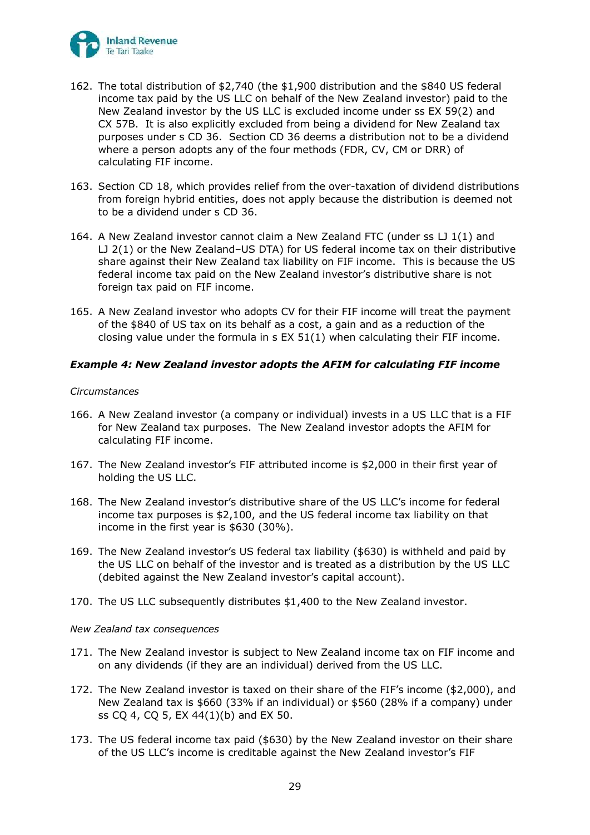

- 162. The total distribution of \$2,740 (the \$1,900 distribution and the \$840 US federal income tax paid by the US LLC on behalf of the New Zealand investor) paid to the New Zealand investor by the US LLC is excluded income under ss EX 59(2) and CX 57B. It is also explicitly excluded from being a dividend for New Zealand tax purposes under s CD 36. Section CD 36 deems a distribution not to be a dividend where a person adopts any of the four methods (FDR, CV, CM or DRR) of calculating FIF income.
- 163. Section CD 18, which provides relief from the over-taxation of dividend distributions from foreign hybrid entities, does not apply because the distribution is deemed not to be a dividend under s CD 36.
- 164. A New Zealand investor cannot claim a New Zealand FTC (under ss LJ 1(1) and LJ 2(1) or the New Zealand–US DTA) for US federal income tax on their distributive share against their New Zealand tax liability on FIF income. This is because the US federal income tax paid on the New Zealand investor's distributive share is not foreign tax paid on FIF income.
- 165. A New Zealand investor who adopts CV for their FIF income will treat the payment of the \$840 of US tax on its behalf as a cost, a gain and as a reduction of the closing value under the formula in s EX 51(1) when calculating their FIF income.

### *Example 4: New Zealand investor adopts the AFIM for calculating FIF income*

#### *Circumstances*

- 166. A New Zealand investor (a company or individual) invests in a US LLC that is a FIF for New Zealand tax purposes. The New Zealand investor adopts the AFIM for calculating FIF income.
- 167. The New Zealand investor's FIF attributed income is \$2,000 in their first year of holding the US LLC.
- 168. The New Zealand investor's distributive share of the US LLC's income for federal income tax purposes is \$2,100, and the US federal income tax liability on that income in the first year is \$630 (30%).
- 169. The New Zealand investor's US federal tax liability (\$630) is withheld and paid by the US LLC on behalf of the investor and is treated as a distribution by the US LLC (debited against the New Zealand investor's capital account).
- 170. The US LLC subsequently distributes \$1,400 to the New Zealand investor.

### *New Zealand tax consequences*

- 171. The New Zealand investor is subject to New Zealand income tax on FIF income and on any dividends (if they are an individual) derived from the US LLC.
- 172. The New Zealand investor is taxed on their share of the FIF's income (\$2,000), and New Zealand tax is \$660 (33% if an individual) or \$560 (28% if a company) under ss CQ 4, CQ 5, EX 44(1)(b) and EX 50.
- 173. The US federal income tax paid (\$630) by the New Zealand investor on their share of the US LLC's income is creditable against the New Zealand investor's FIF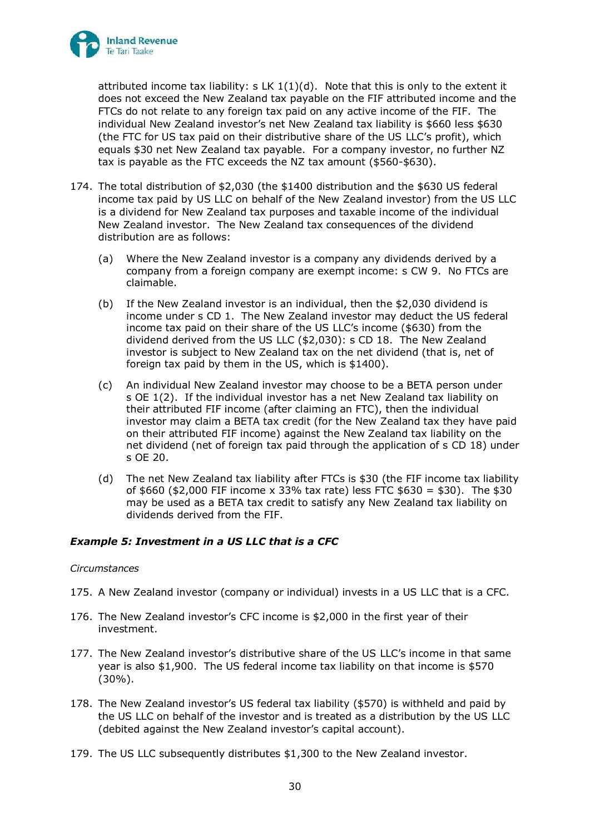

attributed income tax liability:  $s$  LK  $1(1)(d)$ . Note that this is only to the extent it does not exceed the New Zealand tax payable on the FIF attributed income and the FTCs do not relate to any foreign tax paid on any active income of the FIF. The individual New Zealand investor's net New Zealand tax liability is \$660 less \$630 (the FTC for US tax paid on their distributive share of the US LLC's profit), which equals \$30 net New Zealand tax payable. For a company investor, no further NZ tax is payable as the FTC exceeds the NZ tax amount (\$560-\$630).

- 174. The total distribution of \$2,030 (the \$1400 distribution and the \$630 US federal income tax paid by US LLC on behalf of the New Zealand investor) from the US LLC is a dividend for New Zealand tax purposes and taxable income of the individual New Zealand investor. The New Zealand tax consequences of the dividend distribution are as follows:
	- (a) Where the New Zealand investor is a company any dividends derived by a company from a foreign company are exempt income: s CW 9. No FTCs are claimable.
	- (b) If the New Zealand investor is an individual, then the \$2,030 dividend is income under s CD 1. The New Zealand investor may deduct the US federal income tax paid on their share of the US LLC's income (\$630) from the dividend derived from the US LLC (\$2,030): s CD 18. The New Zealand investor is subject to New Zealand tax on the net dividend (that is, net of foreign tax paid by them in the US, which is \$1400).
	- (c) An individual New Zealand investor may choose to be a BETA person under s OE 1(2). If the individual investor has a net New Zealand tax liability on their attributed FIF income (after claiming an FTC), then the individual investor may claim a BETA tax credit (for the New Zealand tax they have paid on their attributed FIF income) against the New Zealand tax liability on the net dividend (net of foreign tax paid through the application of s CD 18) under s OE 20.
	- (d) The net New Zealand tax liability after FTCs is \$30 (the FIF income tax liability of \$660 (\$2,000 FIF income x 33% tax rate) less FTC \$630 = \$30). The \$30 may be used as a BETA tax credit to satisfy any New Zealand tax liability on dividends derived from the FIF.

### *Example 5: Investment in a US LLC that is a CFC*

### *Circumstances*

- 175. A New Zealand investor (company or individual) invests in a US LLC that is a CFC.
- 176. The New Zealand investor's CFC income is \$2,000 in the first year of their investment.
- 177. The New Zealand investor's distributive share of the US LLC's income in that same year is also \$1,900. The US federal income tax liability on that income is \$570 (30%).
- 178. The New Zealand investor's US federal tax liability (\$570) is withheld and paid by the US LLC on behalf of the investor and is treated as a distribution by the US LLC (debited against the New Zealand investor's capital account).
- 179. The US LLC subsequently distributes \$1,300 to the New Zealand investor.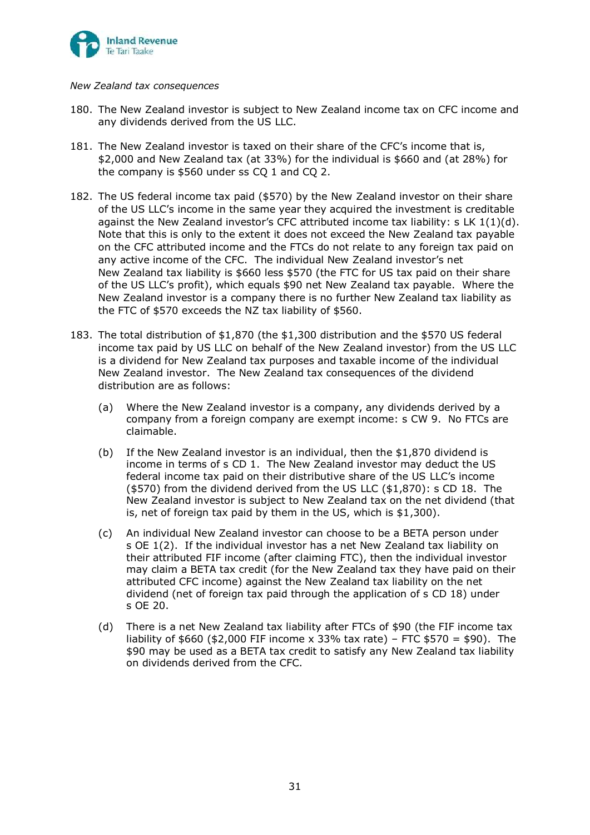

#### *New Zealand tax consequences*

- 180. The New Zealand investor is subject to New Zealand income tax on CFC income and any dividends derived from the US LLC.
- 181. The New Zealand investor is taxed on their share of the CFC's income that is, \$2,000 and New Zealand tax (at 33%) for the individual is \$660 and (at 28%) for the company is \$560 under ss CO 1 and CO 2.
- 182. The US federal income tax paid (\$570) by the New Zealand investor on their share of the US LLC's income in the same year they acquired the investment is creditable against the New Zealand investor's CFC attributed income tax liability: s LK 1(1)(d). Note that this is only to the extent it does not exceed the New Zealand tax payable on the CFC attributed income and the FTCs do not relate to any foreign tax paid on any active income of the CFC. The individual New Zealand investor's net New Zealand tax liability is \$660 less \$570 (the FTC for US tax paid on their share of the US LLC's profit), which equals \$90 net New Zealand tax payable. Where the New Zealand investor is a company there is no further New Zealand tax liability as the FTC of \$570 exceeds the NZ tax liability of \$560.
- 183. The total distribution of \$1,870 (the \$1,300 distribution and the \$570 US federal income tax paid by US LLC on behalf of the New Zealand investor) from the US LLC is a dividend for New Zealand tax purposes and taxable income of the individual New Zealand investor. The New Zealand tax consequences of the dividend distribution are as follows:
	- (a) Where the New Zealand investor is a company, any dividends derived by a company from a foreign company are exempt income: s CW 9. No FTCs are claimable.
	- (b) If the New Zealand investor is an individual, then the \$1,870 dividend is income in terms of s CD 1. The New Zealand investor may deduct the US federal income tax paid on their distributive share of the US LLC's income (\$570) from the dividend derived from the US LLC (\$1,870): s CD 18. The New Zealand investor is subject to New Zealand tax on the net dividend (that is, net of foreign tax paid by them in the US, which is \$1,300).
	- (c) An individual New Zealand investor can choose to be a BETA person under s OE 1(2). If the individual investor has a net New Zealand tax liability on their attributed FIF income (after claiming FTC), then the individual investor may claim a BETA tax credit (for the New Zealand tax they have paid on their attributed CFC income) against the New Zealand tax liability on the net dividend (net of foreign tax paid through the application of s CD 18) under s OE 20.
	- (d) There is a net New Zealand tax liability after FTCs of \$90 (the FIF income tax liability of \$660 (\$2,000 FIF income x 33% tax rate) – FTC \$570 = \$90). The \$90 may be used as a BETA tax credit to satisfy any New Zealand tax liability on dividends derived from the CFC.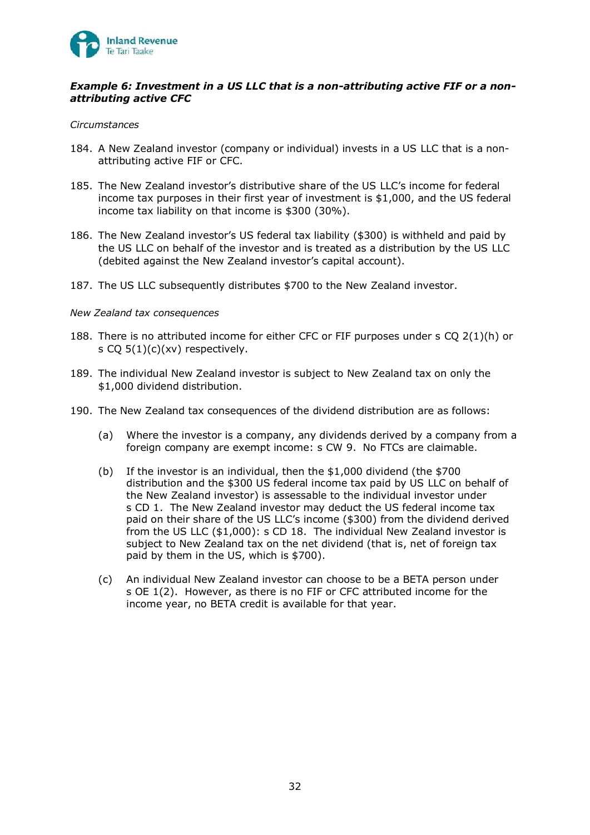

### *Example 6: Investment in a US LLC that is a non-attributing active FIF or a nonattributing active CFC*

#### *Circumstances*

- 184. A New Zealand investor (company or individual) invests in a US LLC that is a nonattributing active FIF or CFC.
- 185. The New Zealand investor's distributive share of the US LLC's income for federal income tax purposes in their first year of investment is \$1,000, and the US federal income tax liability on that income is \$300 (30%).
- 186. The New Zealand investor's US federal tax liability (\$300) is withheld and paid by the US LLC on behalf of the investor and is treated as a distribution by the US LLC (debited against the New Zealand investor's capital account).
- 187. The US LLC subsequently distributes \$700 to the New Zealand investor.

#### *New Zealand tax consequences*

- 188. There is no attributed income for either CFC or FIF purposes under s CQ 2(1)(h) or s CQ  $5(1)(c)(xv)$  respectively.
- 189. The individual New Zealand investor is subject to New Zealand tax on only the \$1,000 dividend distribution.
- 190. The New Zealand tax consequences of the dividend distribution are as follows:
	- (a) Where the investor is a company, any dividends derived by a company from a foreign company are exempt income: s CW 9. No FTCs are claimable.
	- (b) If the investor is an individual, then the \$1,000 dividend (the \$700 distribution and the \$300 US federal income tax paid by US LLC on behalf of the New Zealand investor) is assessable to the individual investor under s CD 1. The New Zealand investor may deduct the US federal income tax paid on their share of the US LLC's income (\$300) from the dividend derived from the US LLC (\$1,000): s CD 18. The individual New Zealand investor is subject to New Zealand tax on the net dividend (that is, net of foreign tax paid by them in the US, which is \$700).
	- (c) An individual New Zealand investor can choose to be a BETA person under s OE 1(2). However, as there is no FIF or CFC attributed income for the income year, no BETA credit is available for that year.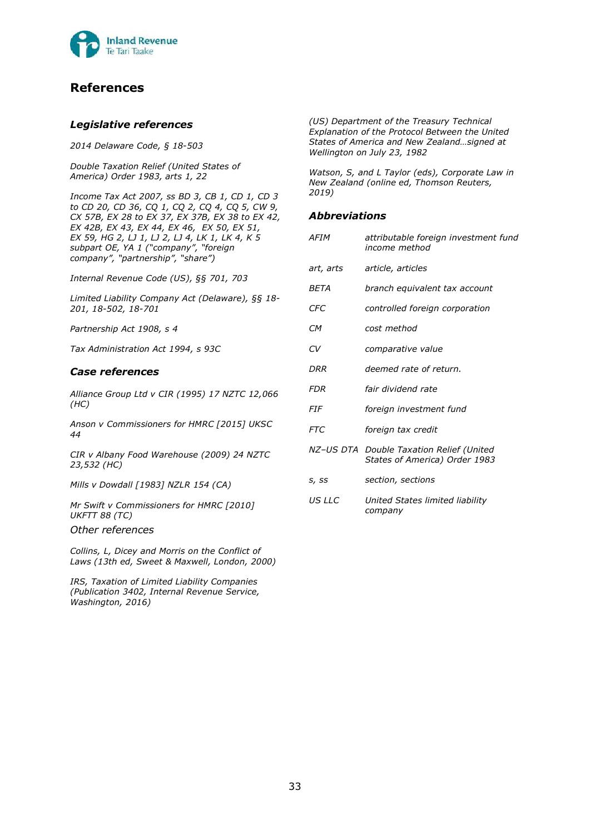

# **References**

#### *Legislative references*

*2014 Delaware Code, § 18-503*

*Double Taxation Relief (United States of America) Order 1983, arts 1, 22*

*Income Tax Act 2007, ss BD 3, CB 1, CD 1, CD 3 to CD 20, CD 36, CQ 1, CQ 2, CQ 4, CQ 5, CW 9, CX 57B, EX 28 to EX 37, EX 37B, EX 38 to EX 42, EX 42B, EX 43, EX 44, EX 46, EX 50, EX 51, EX 59, HG 2, LJ 1, LJ 2, LJ 4, LK 1, LK 4, K 5 subpart OE, YA 1 ("company", "foreign company", "partnership", "share")*

*Internal Revenue Code (US), §§ 701, 703*

*Limited Liability Company Act (Delaware), §§ 18- 201, 18-502, 18-701* 

*Partnership Act 1908, s 4*

*Tax Administration Act 1994, s 93C*

#### *Case references*

*Alliance Group Ltd v CIR (1995) 17 NZTC 12,066 (HC)*

*Anson v Commissioners for HMRC [2015] UKSC 44*

*CIR v Albany Food Warehouse (2009) 24 NZTC 23,532 (HC)*

*Mills v Dowdall [1983] NZLR 154 (CA)*

*Mr Swift v Commissioners for HMRC [2010] UKFTT 88 (TC)*

*Other references*

*Collins, L, Dicey and Morris on the Conflict of Laws (13th ed, Sweet & Maxwell, London, 2000)*

*IRS, Taxation of Limited Liability Companies (Publication 3402, Internal Revenue Service, Washington, 2016)*

*(US) Department of the Treasury Technical Explanation of the Protocol Between the United States of America and New Zealand…signed at Wellington on July 23, 1982*

*Watson, S, and L Taylor (eds), Corporate Law in New Zealand (online ed, Thomson Reuters, 2019)*

#### *Abbreviations*

| AFIM       | attributable foreign investment fund<br>income method                     |
|------------|---------------------------------------------------------------------------|
| art, arts  | article, articles                                                         |
| BETA       | branch equivalent tax account                                             |
| <b>CFC</b> | controlled foreign corporation                                            |
| CМ         | cost method                                                               |
| CV         | comparative value                                                         |
| DRR        | deemed rate of return.                                                    |
| FDR        | fair dividend rate                                                        |
| <i>FIF</i> | foreign investment fund                                                   |
| FTC        | foreign tax credit                                                        |
|            | NZ-US DTA Double Taxation Relief (United<br>States of America) Order 1983 |
| S, SS      | section, sections                                                         |
| US LLC     | United States limited liability<br>company                                |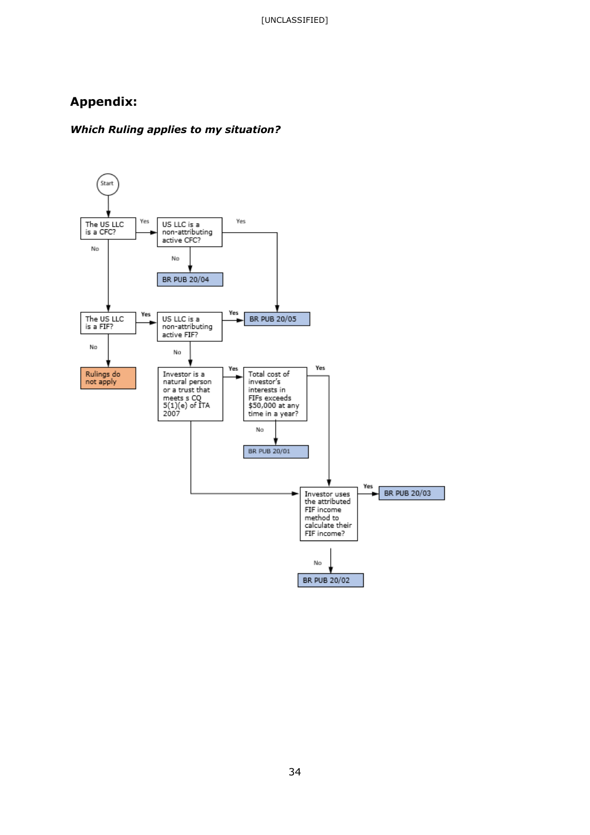# **Appendix:**

### *Which Ruling applies to my situation?*

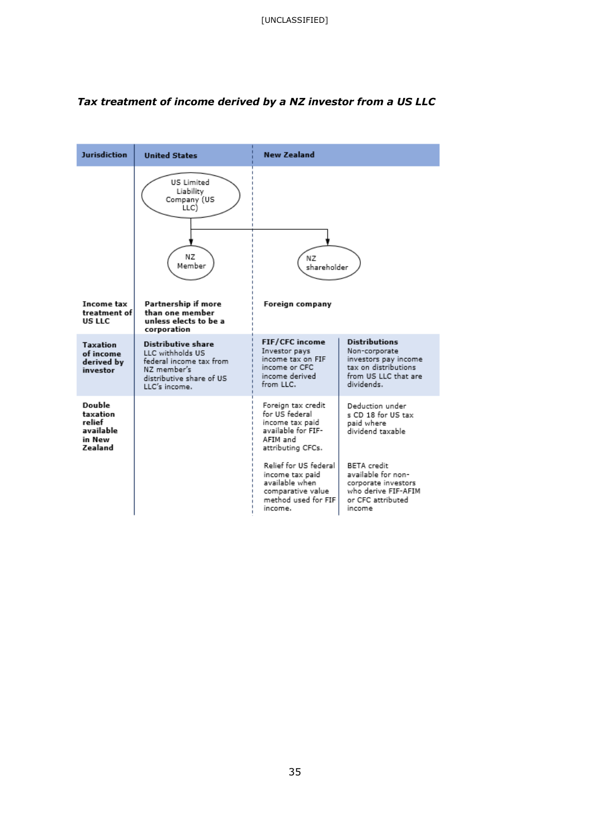

### *Tax treatment of income derived by a NZ investor from a US LLC*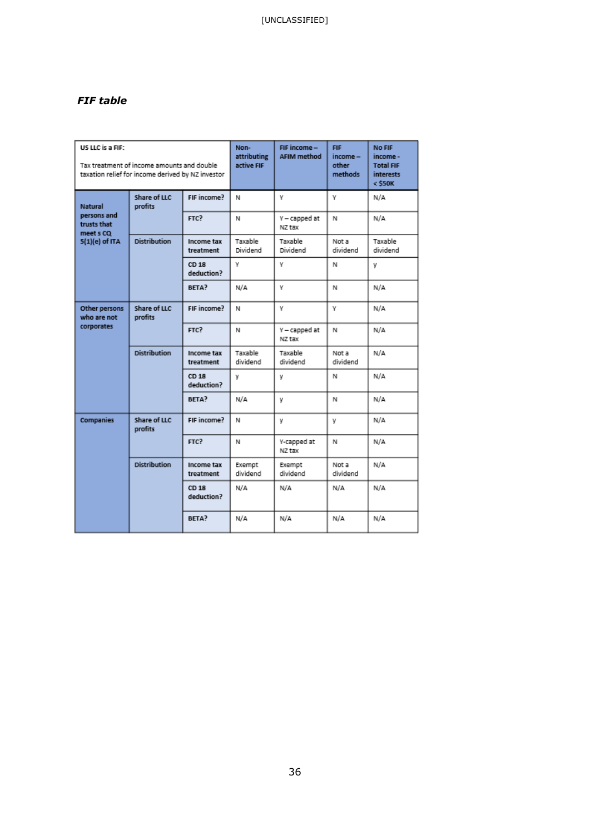## *FIF table*

| US LLC is a FIF:<br>Tax treatment of income amounts and double<br>taxation relief for income derived by NZ investor |                         | Non-<br>attributing<br>active FIF | FIF income -<br><b>AFIM method</b> | <b>FIF</b><br>income -<br>other<br>methods | No FIF<br>income -<br><b>Total FIF</b><br><b>interests</b><br>$<$ \$50K |                     |
|---------------------------------------------------------------------------------------------------------------------|-------------------------|-----------------------------------|------------------------------------|--------------------------------------------|-------------------------------------------------------------------------|---------------------|
| <b>Natural</b><br>persons and<br>trusts that<br>meet s CO<br>5(1)(e) of ITA                                         | Share of LLC<br>profits | FIF income?                       | N                                  | ٧                                          | Υ                                                                       | N/A                 |
|                                                                                                                     |                         | FTC?                              | N                                  | Y - capped at<br>NZ tax                    | N                                                                       | N/A                 |
|                                                                                                                     | <b>Distribution</b>     | Income tax<br>treatment           | Taxable<br>Dividend                | Taxable<br>Dividend                        | Not a<br>dividend                                                       | Taxable<br>dividend |
|                                                                                                                     |                         | CD 18<br>deduction?               | γ                                  | γ                                          | Ν                                                                       | ٧                   |
|                                                                                                                     |                         | BETA?                             | N/A                                | ٧                                          | N                                                                       | N/A                 |
| Other persons<br>who are not<br>corporates                                                                          | Share of LLC<br>profits | FIF income?                       | N                                  | ٧                                          | Υ.                                                                      | N/A                 |
|                                                                                                                     |                         | FTC?                              | N                                  | Y - capped at<br>NZ tax                    | N                                                                       | N/A                 |
|                                                                                                                     | <b>Distribution</b>     | Income tax<br>treatment           | Taxable<br>dividend                | Taxable<br>dividend                        | Not a<br>dividend                                                       | N/A                 |
|                                                                                                                     |                         | CD 18<br>deduction?               | v                                  | ٧                                          | N                                                                       | N/A                 |
|                                                                                                                     |                         | BETA?                             | N/A                                | y                                          | N                                                                       | N/A                 |
| <b>Companies</b>                                                                                                    | Share of LLC<br>profits | FIF income?                       | N                                  | Y                                          | y                                                                       | N/A                 |
|                                                                                                                     |                         | FTC?                              | Ν                                  | Y-capped at<br>NZ tax                      | Ν                                                                       | N/A                 |
|                                                                                                                     | <b>Distribution</b>     | Income tax<br>treatment           | Exempt<br>dividend                 | Exempt<br>dividend                         | Not a<br>dividend                                                       | N/A                 |
|                                                                                                                     |                         | CD 18<br>deduction?               | N/A                                | N/A                                        | N/A                                                                     | N/A                 |
|                                                                                                                     |                         | BETA?                             | N/A                                | N/A                                        | N/A                                                                     | N/A                 |